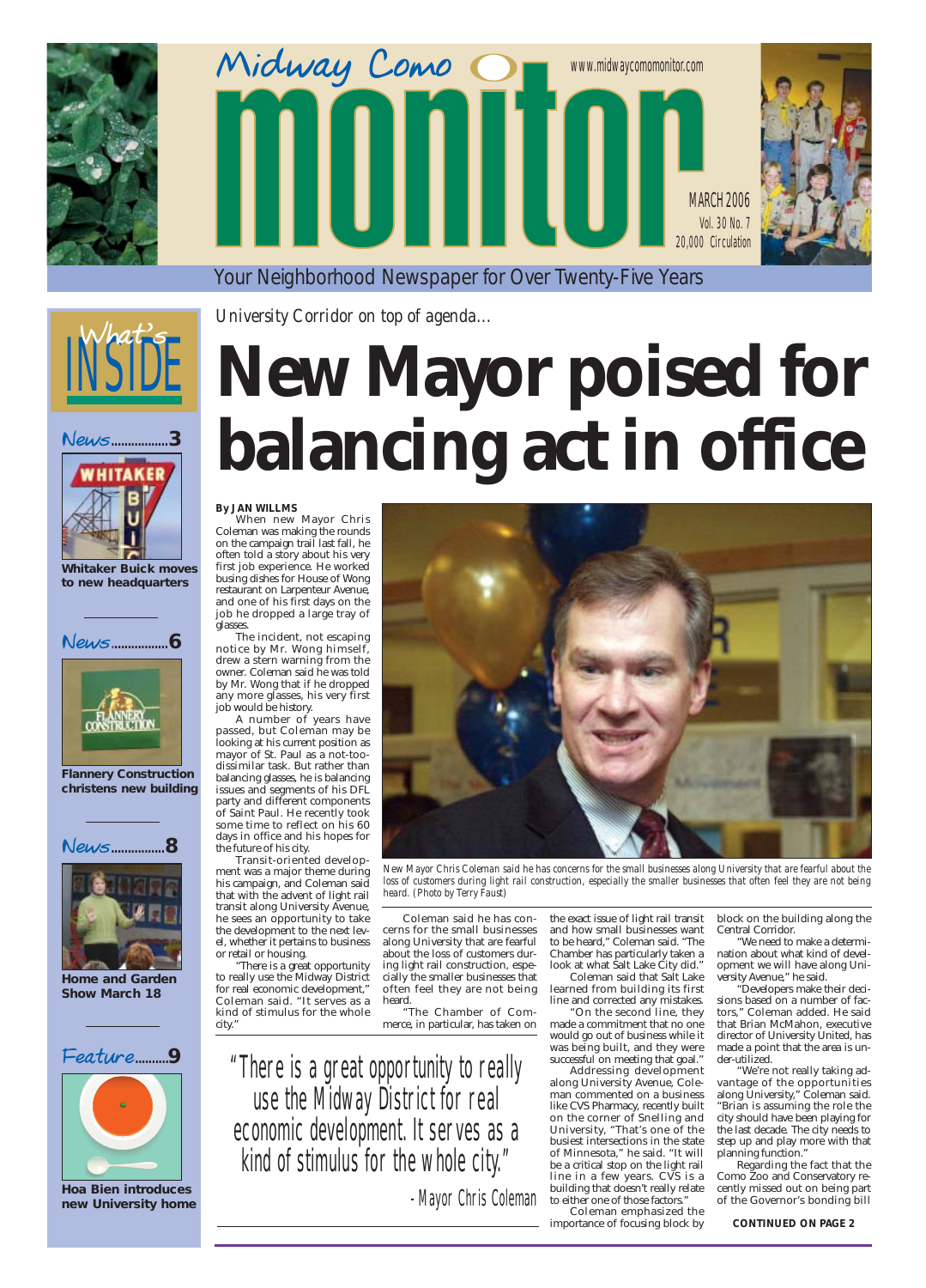#### **By JAN WILLMS**

When new Mayor Chris Coleman was making the rounds on the campaign trail last fall, he often told a story about his very first job experience. He worked busing dishes for House of Wong restaurant on Larpenteur Avenue, and one of his first days on the job he dropped a large tray of glasses.

The incident, not escaping notice by Mr. Wong himself, drew a stern warning from the owner. Coleman said he was told by Mr. Wong that if he dropped any more glasses, his very first job would be history.

kind of stimulus for the whole city.'

A number of years have passed, but Coleman may be looking at his current position as mayor of St. Paul as a not-toodissimilar task. But rather than balancing glasses, he is balancing issues and segments of his DFL party and different components of Saint Paul. He recently took some time to reflect on his 60 days in office and his hopes for the future of his city.

Transit-oriented development was a major theme during his campaign, and Coleman said that with the advent of light rail transit along University Avenue, he sees an opportunity to take the development to the next level, whether it pertains to business or retail or housing.

"There is a great opportunity to really use the Midway District for real economic development," Coleman said. "It serves as a

Coleman said he has concerns for the small businesses along University that are fearful about the loss of customers during light rail construction, especially the smaller businesses that often feel they are not being heard.

"The Chamber of Com-

the exact issue of light rail transit and how small businesses want to be heard," Coleman said. "The Chamber has particularly taken a look at what Salt Lake City did."

merce, in particular, has taken on made a commitment that no one "On the second line, they would go out of business while it was being built, and they were successful on meeting that goal."

Coleman said that Salt Lake learned from building its first line and corrected any mistakes.

Addressing development along University Avenue, Coleman commented on a business like CVS Pharmacy, recently built on the corner of Snelling and University, "That's one of the busiest intersections in the state of Minnesota," he said. "It will be a critical stop on the light rail line in a few years. CVS is a building that doesn't really relate to either one of those factors." Coleman emphasized the

importance of focusing block by

block on the building along the Central Corridor.

"We need to make a determination about what kind of development we will have along University Avenue," he said.

"Developers make their decisions based on a number of fac-

tors," Coleman added. He said that Brian McMahon, executive director of University United, has made a point that the area is under-utilized.

"We're not really taking advantage of the opportunities along University," Coleman said. "Brian is assuming the role the city should have been playing for the last decade. The city needs to step up and play more with that planning function."

Regarding the fact that the Como Zoo and Conservatory recently missed out on being part of the Governor's bonding bill

**CONTINUED ON PAGE 2**







**Whitaker Buick moves to new headquarters**







**Flannery Construction christens new building**



**Home and Garden Show March 18**



Your Neighborhood Newspaper for Over Twenty-Five Years

*University Corridor on top of agenda...*

# **New Mayor poised for balancing act in office**

**Feature**..........**9**

**Hoa Bien introduces new University home**



*New Mayor Chris Coleman said he has concerns for the small businesses along University that are fearful about the loss of customers during light rail construction, especially the smaller businesses that often feel they are not being heard. (Photo by Terry Faust)*

"There is a great opportunity to really use the Midway District for real economic development. It serves as a kind of stimulus for the whole city."

- Mayor Chris Coleman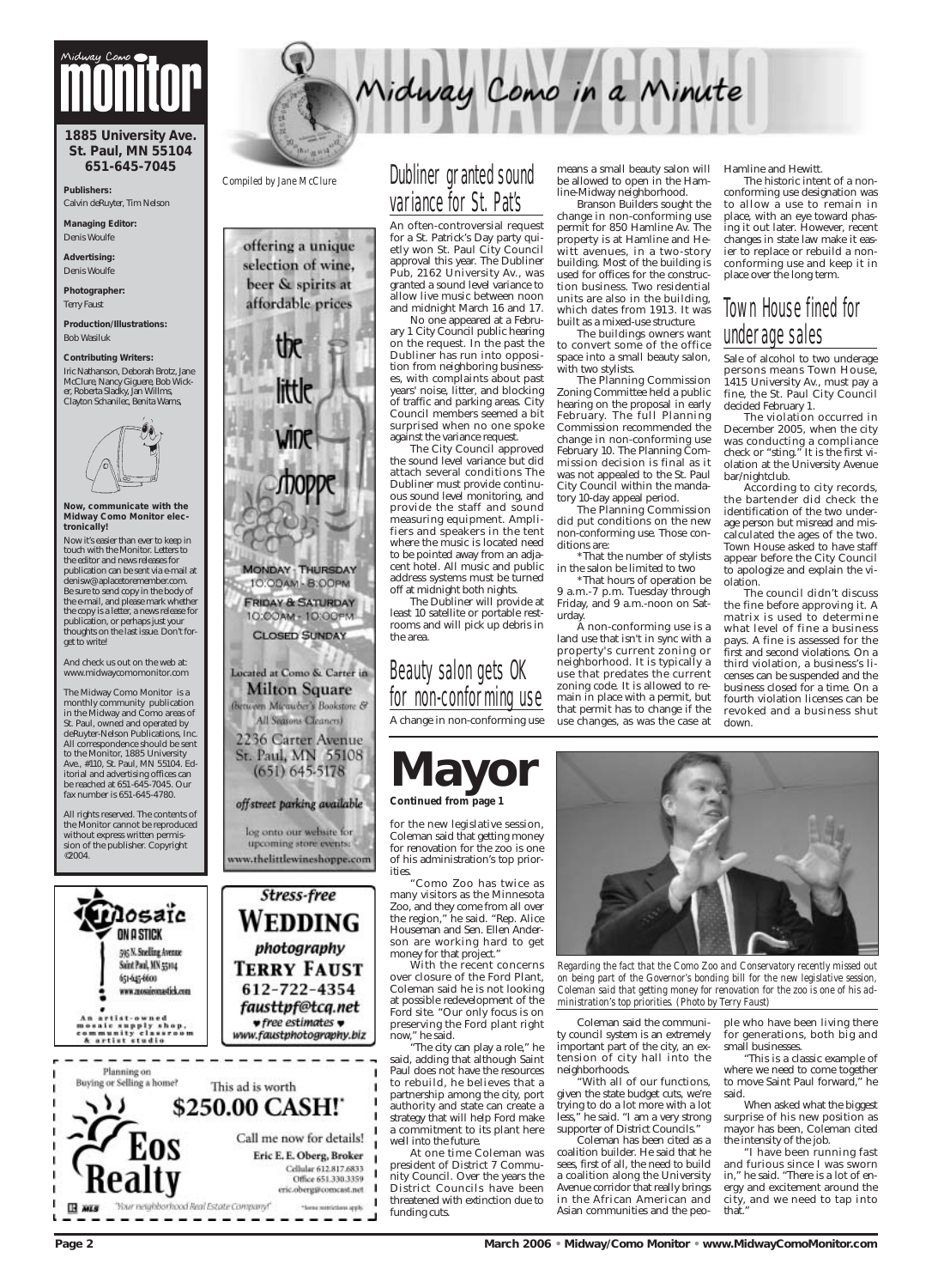**Page 2 March 2006 • Midway/Como Monitor • www.MidwayComoMonitor.com** 

#### **1885 University Ave. St. Paul, MN 55104 651-645-7045**

**Publishers:** Calvin deRuyter, Tim Nelson

**Managing Editor:**  Denis Woulfe

**Advertising:**  Denis Woulfe

**Photographer:** Terry Faust

**Production/Illustrations:** Bob Wasiluk

**Contributing Writers:** Iric Nathanson, Deborah Brotz, Jane McClure, Nancy Giguere, Bob Wicker, Roberta Sladky, Jan Willms, Clayton Schanilec, Benita Warns,



#### **Now, communicate with the Midway Como Monitor electronically!**

All rights reserved. The contents of the Monitor cannot be reproduced without express written permission of the publisher. Copyright  $^{\circ}2004.$ 





Now it's easier than ever to keep in touch with the Monitor. Letters to the editor and news releases for publication can be sent via e-mail at denisw@aplacetoremember.com. Be sure to send copy in the body of the e-mail, and please mark whether the copy is a letter, a news release for publication, or perhaps just your thoughts on the last issue. Don't forget to write!

And check us out on the web at: www.midwaycomomonitor.com

The Midway Como Monitor is a monthly community publication in the Midway and Como areas of St. Paul, owned and operated by deRuyter-Nelson Publications, Inc. All correspondence should be sent to the Monitor, 1885 University Ave., #110, St. Paul, MN 55104. Editorial and advertising offices can be reached at 651-645-7045. Our fax number is 651-645-4780.



## Dubliner granted sound variance for St. Pat's

An often-controversial request for a St. Patrick's Day party quietly won St. Paul City Council approval this year. The Dubliner Pub, 2162 University Av., was granted a sound level variance to allow live music between noon and midnight March 16 and 17.

No one appeared at a February 1 City Council public hearing on the request. In the past the Dubliner has run into opposition from neighboring businesses, with complaints about past years' noise, litter, and blocking of traffic and parking areas. City Council members seemed a bit surprised when no one spoke against the variance request.

The City Council approved the sound level variance but did attach several conditions The Dubliner must provide continuous sound level monitoring, and provide the staff and sound measuring equipment. Amplifiers and speakers in the tent where the music is located need to be pointed away from an adjacent hotel. All music and public address systems must be turned off at midnight both nights.

The Dubliner will provide at least 10 satellite or portable restrooms and will pick up debris in the area.

## Beauty salon gets OK for non-conforming use

A change in non-conforming use

means a small beauty salon will be allowed to open in the Hamline-Midway neighborhood.

Como Zoo has twice as many visitors as the Minnesota Zoo, and they come from all over the region," he said. "Rep. Alice Houseman and Sen. Ellen Anderson are working hard to get money for that project."

Branson Builders sought the change in non-conforming use permit for 850 Hamline Av. The property is at Hamline and Hewitt avenues, in a two-story building. Most of the building is used for offices for the construction business. Two residential units are also in the building, which dates from 1913. It was built as a mixed-use structure.

The buildings owners want to convert some of the office space into a small beauty salon, with two stylists.

The Planning Commission Zoning Committee held a public hearing on the proposal in early February. The full Planning Commission recommended the change in non-conforming use February 10. The Planning Commission decision is final as it was not appealed to the St. Paul City Council within the mandatory 10-day appeal period.

The Planning Commission did put conditions on the new non-conforming use. Those conditions are:

\*That the number of stylists in the salon be limited to two

\*That hours of operation be 9 a.m.-7 p.m. Tuesday through Friday, and 9 a.m.-noon on Saturday.

A non-conforming use is a land use that isn't in sync with a property's current zoning or neighborhood. It is typically a use that predates the current zoning code. It is allowed to remain in place with a permit, but that permit has to change if the use changes, as was the case at Hamline and Hewitt.

The historic intent of a nonconforming use designation was to allow a use to remain in place, with an eye toward phasing it out later. However, recent changes in state law make it easier to replace or rebuild a nonconforming use and keep it in place over the long term.

## Town House fined for underage sales

Sale of alcohol to two underage persons means Town House, 1415 University Av., must pay a fine, the St. Paul City Council decided February 1.

The violation occurred in December 2005, when the city was conducting a compliance check or "sting." It is the first violation at the University Avenue bar/nightclub.

According to city records, the bartender did check the identification of the two underage person but misread and miscalculated the ages of the two. Town House asked to have staff appear before the City Council to apologize and explain the violation.

The council didn't discuss the fine before approving it. A matrix is used to determine what level of fine a business pays. A fine is assessed for the first and second violations. On a third violation, a business's licenses can be suspended and the business closed for a time. On a fourth violation licenses can be revoked and a business shut down.

## **Mayor**

**Continued from page 1**

for the new legislative session, Coleman said that getting money for renovation for the zoo is one of his administration's top priorities.

With the recent concerns over closure of the Ford Plant, Coleman said he is not looking at possible redevelopment of the

Ford site. "Our only focus is on preserving the Ford plant right now," he said.

"The city can play a role," he said, adding that although Saint Paul does not have the resources to rebuild, he believes that a partnership among the city, port authority and state can create a strategy that will help Ford make a commitment to its plant here well into the future.

At one time Coleman was president of District 7 Community Council. Over the years the District Councils have been threatened with extinction due to funding cuts.

Coleman said the community council system is an extremely important part of the city, an extension of city hall into the neighborhoods.

"With all of our functions, given the state budget cuts, we're trying to do a lot more with a lot less," he said. "I am a very strong supporter of District Councils."

Coleman has been cited as a coalition builder. He said that he sees, first of all, the need to build a coalition along the University Avenue corridor that really brings in the African American and Asian communities and the people who have been living there for generations, both big and small businesses.

"This is a classic example of where we need to come together to move Saint Paul forward," he said.

When asked what the biggest surprise of his new position as mayor has been, Coleman cited the intensity of the job.

"I have been running fast and furious since I was sworn in," he said. "There is a lot of energy and excitement around the city, and we need to tap into that."



*Regarding the fact that the Como Zoo and Conservatory recently missed out on being part of the Governor's bonding bill for the new legislative session, Coleman said that getting money for renovation for the zoo is one of his administration's top priorities. (Photo by Terry Faust)*





Planning on Buying or Selling a home? This ad is worth \$250.00 CASH!' Call me now for details! Eric E. E. Oberg, Broker Cellular 612.817.6833 Office 651.330.3359 eric.oberg@comcast.net jhborhood Real Estate Company!" \*Some nutrictions apply -------- $- - - - -$ 

*Compiled by Jane McClure*

## offering a unique selection of wine, beer & spirits at affordable prices the little WIDC toppe MONDAY THURSDAY 10:00AM - B:00PM **FRIDAY & SATURDAY** 10:00AM - 10:00PM **CLOSED SUNDAY** Located at Como & Carter in **Milton Square** (between Micowber's Bookstore & All Seasons Cleaners) 2236 Carter Avenue St. Paul, MN 55108  $(651) 645-5178$ off street parking available

log onto our website for upcoming store events: www.thelittlewineshoppe.com

## Stress-free WEDDING photography **TERRY FAUST** 612-722-4354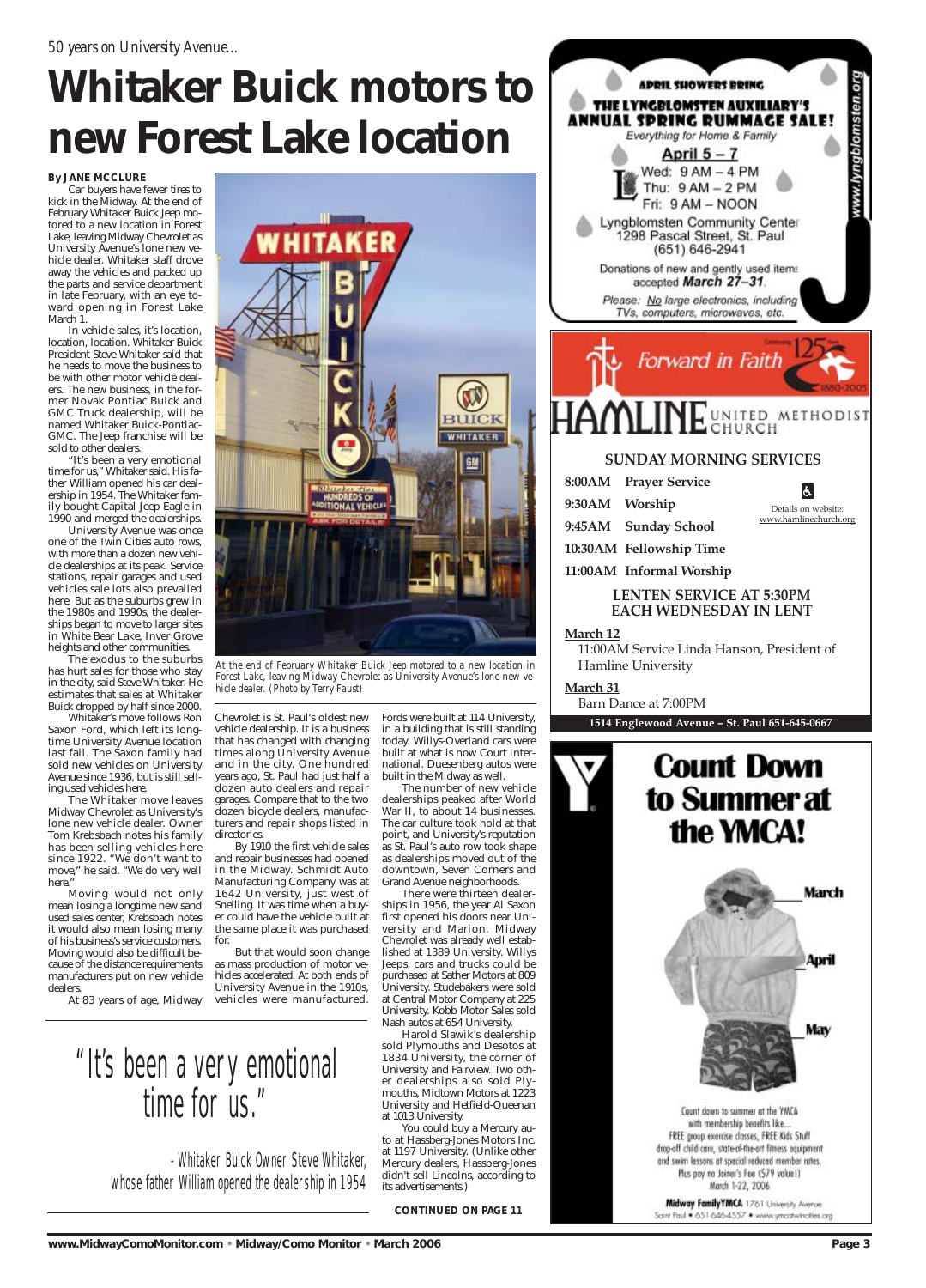**By JANE MCCLURE**

Car buyers have fewer tires to kick in the Midway. At the end of February Whitaker Buick Jeep motored to a new location in Forest Lake, leaving Midway Chevrolet as University Avenue's lone new vehicle dealer. Whitaker staff drove away the vehicles and packed up the parts and service department in late February, with an eye toward opening in Forest Lake March 1.

In vehicle sales, it's location, location, location. Whitaker Buick President Steve Whitaker said that he needs to move the business to be with other motor vehicle dealers. The new business, in the former Novak Pontiac Buick and GMC Truck dealership, will be named Whitaker Buick-Pontiac-GMC. The Jeep franchise will be sold to other dealers.

"It's been a very emotional time for us," Whitaker said. His father William opened his car dealership in 1954. The Whitaker family bought Capital Jeep Eagle in 1990 and merged the dealerships.

University Avenue was once one of the Twin Cities auto rows, with more than a dozen new vehicle dealerships at its peak. Service stations, repair garages and used vehicles sale lots also prevailed here. But as the suburbs grew in the 1980s and 1990s, the dealerships began to move to larger sites in White Bear Lake, Inver Grove heights and other communities.

The exodus to the suburbs has hurt sales for those who stay in the city, said Steve Whitaker. He estimates that sales at Whitaker Buick dropped by half since 2000.

Whitaker's move follows Ron Saxon Ford, which left its longtime University Avenue location last fall. The Saxon family had sold new vehicles on University Avenue since 1936, but is still selling used vehicles here.

The Whitaker move leaves Midway Chevrolet as University's lone new vehicle dealer. Owner Tom Krebsbach notes his family has been selling vehicles here since 1922. "We don't want to move," he said. "We do very well here."

Moving would not only mean losing a longtime new sand used sales center, Krebsbach notes it would also mean losing many of his business's service customers. Moving would also be difficult because of the distance requirements manufacturers put on new vehicle dealers.

At 83 years of age, Midway

Chevrolet is St. Paul's oldest new vehicle dealership. It is a business that has changed with changing times along University Avenue and in the city. One hundred years ago, St. Paul had just half a dozen auto dealers and repair garages. Compare that to the two dozen bicycle dealers, manufacturers and repair shops listed in directories.

By 1910 the first vehicle sales and repair businesses had opened in the Midway. Schmidt Auto Manufacturing Company was at 1642 University, just west of Snelling. It was time when a buyer could have the vehicle built at the same place it was purchased for.

But that would soon change as mass production of motor vehicles accelerated. At both ends of University Avenue in the 1910s, vehicles were manufactured.

Fords were built at 114 University, in a building that is still standing today. Willys-Overland cars were built at what is now Court International. Duesenberg autos were built in the Midway as well.

The number of new vehicle dealerships peaked after World War II, to about 14 businesses. The car culture took hold at that point, and University's reputation as St. Paul's auto row took shape as dealerships moved out of the downtown, Seven Corners and Grand Avenue neighborhoods.

There were thirteen dealerships in 1956, the year Al Saxon first opened his doors near University and Marion. Midway Chevrolet was already well established at 1389 University. Willys Jeeps, cars and trucks could be purchased at Sather Motors at 809 University. Studebakers were sold at Central Motor Company at 225 University. Kobb Motor Sales sold Nash autos at 654 University. Harold Slawik's dealership sold Plymouths and Desotos at 1834 University, the corner of University and Fairview. Two other dealerships also sold Plymouths, Midtown Motors at 1223 University and Hetfield-Queenan at 1013 University. You could buy a Mercury auto at Hassberg-Jones Motors Inc. at 1197 University. (Unlike other Mercury dealers, Hassberg-Jones didn't sell Lincolns, according to its advertisements.)

**CONTINUED ON PAGE 11**

Saint Paul . 651-6464557 . www.ymochwincities.org

**www.MidwayComoMonitor.com • Midway/Como Monitor • March 2006 Page 3**

#### *50 years on University Avenue...*

## **Whitaker Buick motors to new Forest Lake location**





*At the end of February Whitaker Buick Jeep motored to a new location in Forest Lake, leaving Midway Chevrolet as University Avenue's lone new vehicle dealer. (Photo by Terry Faust)*

## "It's been a very emotional time for us."

- Whitaker Buick Owner Steve Whitaker, whose father William opened the dealership in 1954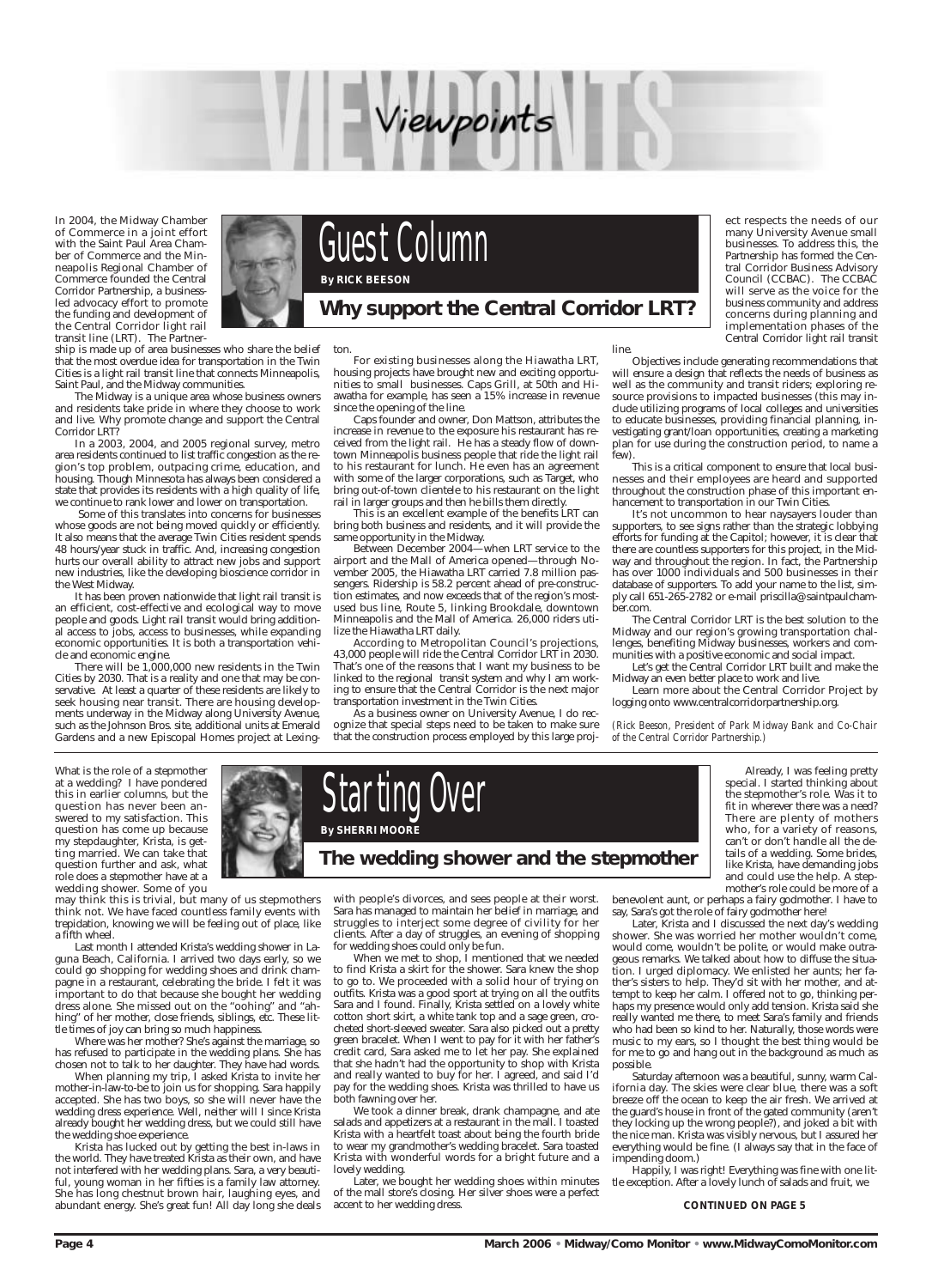

In 2004, the Midway Chamber of Commerce in a joint effort with the Saint Paul Area Chamber of Commerce and the Minneapolis Regional Chamber of Commerce founded the Central Corridor Partnership, a businessled advocacy effort to promote the funding and development of the Central Corridor light rail transit line (LRT). The Partner-

ship is made up of area businesses who share the belief that the most overdue idea for transportation in the Twin Cities is a light rail transit line that connects Minneapolis, Saint Paul, and the Midway communities.

The Midway is a unique area whose business owners and residents take pride in where they choose to work and live. Why promote change and support the Central Corridor LRT?

In a 2003, 2004, and 2005 regional survey, metro area residents continued to list traffic congestion as the region's top problem, outpacing crime, education, and housing. Though Minnesota has always been considered a state that provides its residents with a high quality of life, we continue to rank lower and lower on transportation.

Some of this translates into concerns for businesses whose goods are not being moved quickly or efficiently. It also means that the average Twin Cities resident spends 48 hours/year stuck in traffic. And, increasing congestion hurts our overall ability to attract new jobs and support new industries, like the developing bioscience corridor in the West Midway.

It has been proven nationwide that light rail transit is an efficient, cost-effective and ecological way to move people and goods. Light rail transit would bring additional access to jobs, access to businesses, while expanding economic opportunities. It is both a transportation vehicle and economic engine.

There will be 1,000,000 new residents in the Twin Cities by 2030. That is a reality and one that may be conservative. At least a quarter of these residents are likely to seek housing near transit. There are housing developments underway in the Midway along University Avenue, such as the Johnson Bros. site, additional units at Emerald Gardens and a new Episcopal Homes project at Lexington. For existing businesses along the Hiawatha LRT, housing projects have brought new and exciting opportunities to small businesses. Caps Grill, at 50th and Hiawatha for example, has seen a 15% increase in revenue since the opening of the line.

Caps founder and owner, Don Mattson, attributes the increase in revenue to the exposure his restaurant has received from the light rail. He has a steady flow of downtown Minneapolis business people that ride the light rail to his restaurant for lunch. He even has an agreement with some of the larger corporations, such as Target, who bring out-of-town clientele to his restaurant on the light rail in larger groups and then he bills them directly.

This is an excellent example of the benefits LRT can bring both business and residents, and it will provide the same opportunity in the Midway.

Between December 2004—when LRT service to the airport and the Mall of America opened—through November 2005, the Hiawatha LRT carried 7.8 million passengers. Ridership is 58.2 percent ahead of pre-construction estimates, and now exceeds that of the region's mostused bus line, Route 5, linking Brookdale, downtown Minneapolis and the Mall of America. 26,000 riders utilize the Hiawatha LRT daily.

According to Metropolitan Council's projections, 43,000 people will ride the Central Corridor LRT in 2030. That's one of the reasons that I want my business to be linked to the regional transit system and why I am working to ensure that the Central Corridor is the next major transportation investment in the Twin Cities.

As a business owner on University Avenue, I do recognize that special steps need to be taken to make sure that the construction process employed by this large project respects the needs of our many University Avenue small businesses. To address this, the Partnership has formed the Central Corridor Business Advisory Council (CCBAC). The CCBAC will serve as the voice for the business community and address concerns during planning and implementation phases of the Central Corridor light rail transit

line.

Objectives include generating recommendations that will ensure a design that reflects the needs of business as well as the community and transit riders; exploring resource provisions to impacted businesses (this may include utilizing programs of local colleges and universities to educate businesses, providing financial planning, investigating grant/loan opportunities, creating a marketing plan for use during the construction period, to name a few).

This is a critical component to ensure that local businesses and their employees are heard and supported throughout the construction phase of this important enhancement to transportation in our Twin Cities.

It's not uncommon to hear naysayers louder than supporters, to see signs rather than the strategic lobbying efforts for funding at the Capitol; however, it is clear that there are countless supporters for this project, in the Midway and throughout the region. In fact, the Partnership has over 1000 individuals and 500 businesses in their database of supporters. To add your name to the list, simply call 651-265-2782 or e-mail priscilla@saintpaulchamber.com.

The Central Corridor LRT is the best solution to the Midway and our region's growing transportation challenges, benefiting Midway businesses, workers and communities with a positive economic and social impact.

Let's get the Central Corridor LRT built and make the Midway an even better place to work and live.

Learn more about the Central Corridor Project by logging onto www.centralcorridorpartnership.org.

*(Rick Beeson, President of Park Midway Bank and Co-Chair of the Central Corridor Partnership.)*

**Page 4 March 2006 • Midway/Como Monitor • www.MidwayComoMonitor.com** 

What is the role of a stepmother at a wedding? I have pondered this in earlier columns, but the question has never been answered to my satisfaction. This question has come up because my stepdaughter, Krista, is getting married. We can take that question further and ask, what role does a stepmother have at a wedding shower. Some of you



Last month I attended Krista's wedding shower in Laguna Beach, California. I arrived two days early, so we could go shopping for wedding shoes and drink champagne in a restaurant, celebrating the bride. I felt it was important to do that because she bought her wedding dress alone. She missed out on the "oohing" and "ahhing" of her mother, close friends, siblings, etc. These little times of joy can bring so much happiness. Where was her mother? She's against the marriage, so has refused to participate in the wedding plans. She has chosen not to talk to her daughter. They have had words. When planning my trip, I asked Krista to invite her mother-in-law-to-be to join us for shopping. Sara happily accepted. She has two boys, so she will never have the wedding dress experience. Well, neither will I since Krista already bought her wedding dress, but we could still have the wedding shoe experience. Krista has lucked out by getting the best in-laws in the world. They have treated Krista as their own, and have not interfered with her wedding plans. Sara, a very beautiful, young woman in her fifties is a family law attorney. She has long chestnut brown hair, laughing eyes, and abundant energy. She's great fun! All day long she deals

with people's divorces, and sees people at their worst. Sara has managed to maintain her belief in marriage, and struggles to interject some degree of civility for her clients. After a day of struggles, an evening of shopping for wedding shoes could only be fun.

When we met to shop, I mentioned that we needed to find Krista a skirt for the shower. Sara knew the shop to go to. We proceeded with a solid hour of trying on outfits. Krista was a good sport at trying on all the outfits Sara and I found. Finally, Krista settled on a lovely white cotton short skirt, a white tank top and a sage green, crocheted short-sleeved sweater. Sara also picked out a pretty green bracelet. When I went to pay for it with her father's credit card, Sara asked me to let her pay. She explained that she hadn't had the opportunity to shop with Krista and really wanted to buy for her. I agreed, and said I'd pay for the wedding shoes. Krista was thrilled to have us both fawning over her. We took a dinner break, drank champagne, and ate salads and appetizers at a restaurant in the mall. I toasted Krista with a heartfelt toast about being the fourth bride to wear my grandmother's wedding bracelet. Sara toasted Krista with wonderful words for a bright future and a lovely wedding. Later, we bought her wedding shoes within minutes of the mall store's closing. Her silver shoes were a perfect accent to her wedding dress.

Already, I was feeling pretty special. I started thinking about the stepmother's role. Was it to fit in wherever there was a need? There are plenty of mothers who, for a variety of reasons, can't or don't handle all the details of a wedding. Some brides, like Krista, have demanding jobs and could use the help. A stepmother's role could be more of a

benevolent aunt, or perhaps a fairy godmother. I have to say, Sara's got the role of fairy godmother here!

Later, Krista and I discussed the next day's wedding shower. She was worried her mother wouldn't come, would come, wouldn't be polite, or would make outrageous remarks. We talked about how to diffuse the situation. I urged diplomacy. We enlisted her aunts; her father's sisters to help. They'd sit with her mother, and attempt to keep her calm. I offered not to go, thinking perhaps my presence would only add tension. Krista said she really wanted me there, to meet Sara's family and friends who had been so kind to her. Naturally, those words were music to my ears, so I thought the best thing would be for me to go and hang out in the background as much as possible. Saturday afternoon was a beautiful, sunny, warm California day. The skies were clear blue, there was a soft breeze off the ocean to keep the air fresh. We arrived at the guard's house in front of the gated community (aren't they locking up the wrong people?), and joked a bit with the nice man. Krista was visibly nervous, but I assured her everything would be fine. (I always say that in the face of impending doom.) Happily, I was right! Everything was fine with one little exception. After a lovely lunch of salads and fruit, we

#### **CONTINUED ON PAGE 5**



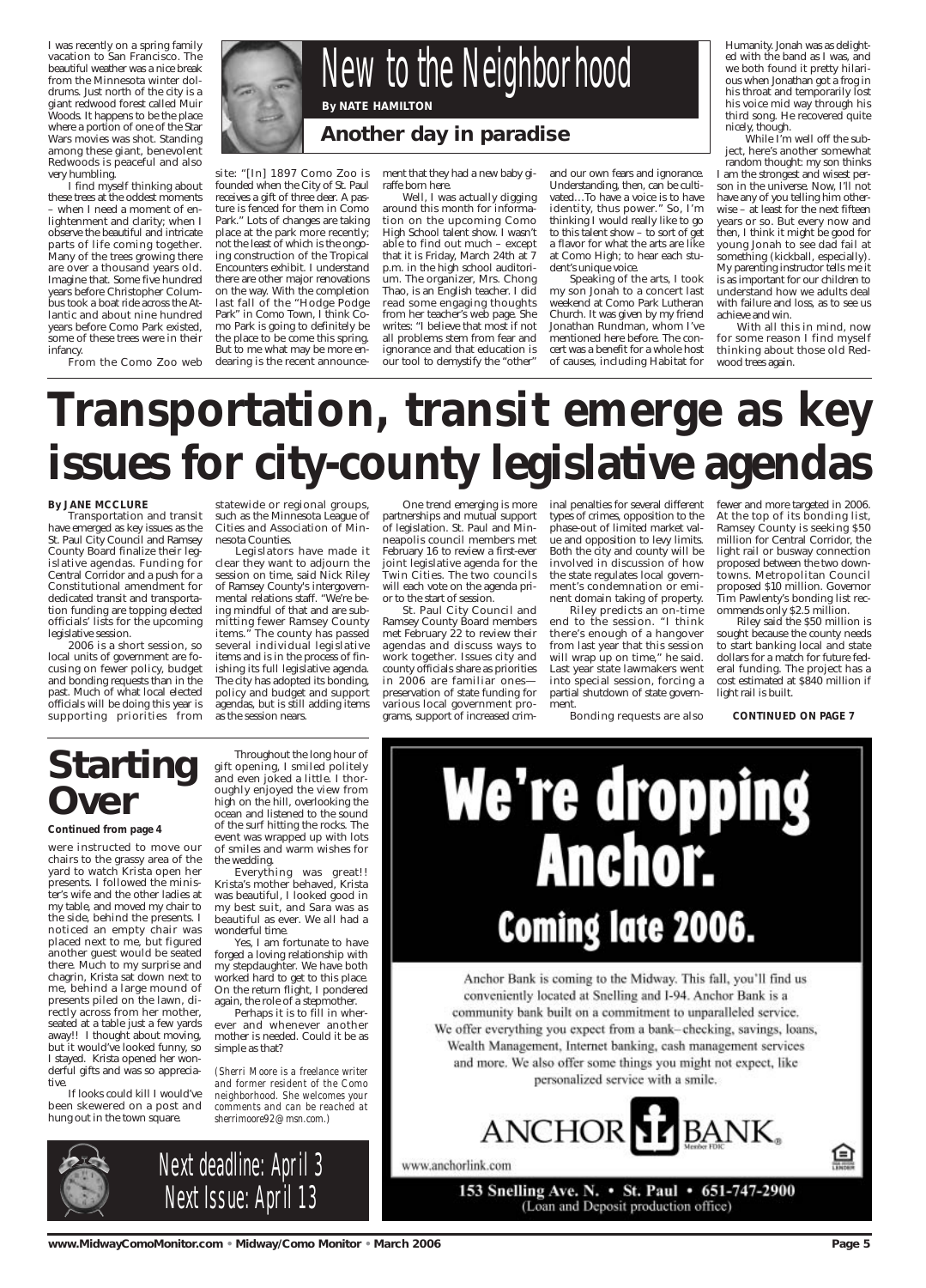I was recently on a spring family vacation to San Francisco. The beautiful weather was a nice break from the Minnesota winter doldrums. Just north of the city is a giant redwood forest called Muir Woods. It happens to be the place where a portion of one of the Star Wars movies was shot. Standing among these giant, benevolent Redwoods is peaceful and also very humbling.

I find myself thinking about these trees at the oddest moments – when I need a moment of enlightenment and clarity; when I observe the beautiful and intricate parts of life coming together. Many of the trees growing there are over a thousand years old. Imagine that. Some five hundred years before Christopher Columbus took a boat ride across the Atlantic and about nine hundred years before Como Park existed, some of these trees were in their infancy.

From the Como Zoo web

site: "[In] 1897 Como Zoo is founded when the City of St. Paul receives a gift of three deer. A pasture is fenced for them in Como Park." Lots of changes are taking place at the park more recently; not the least of which is the ongoing construction of the Tropical Encounters exhibit. I understand there are other major renovations on the way. With the completion last fall of the "Hodge Podge Park" in Como Town, I think Como Park is going to definitely be the place to be come this spring. But to me what may be more endearing is the recent announce-

ment that they had a new baby giraffe born here.

Well, I was actually digging around this month for information on the upcoming Como High School talent show. I wasn't able to find out much – except that it is Friday, March 24th at 7 p.m. in the high school auditorium. The organizer, Mrs. Chong Thao, is an English teacher. I did read some engaging thoughts from her teacher's web page. She writes: "I believe that most if not all problems stem from fear and ignorance and that education is our tool to demystify the "other"

and our own fears and ignorance. Understanding, then, can be cultivated…To have a voice is to have identity, thus power." So, I'm thinking I would really like to go to this talent show – to sort of get a flavor for what the arts are like at Como High; to hear each student's unique voice.

Speaking of the arts, I took my son Jonah to a concert last weekend at Como Park Lutheran Church. It was given by my friend Jonathan Rundman, whom I've mentioned here before. The concert was a benefit for a whole host of causes, including Habitat for Humanity. Jonah was as delighted with the band as I was, and we both found it pretty hilarious when Jonathan got a frog in his throat and temporarily lost his voice mid way through his third song. He recovered quite nicely, though.

While I'm well off the subject, here's another somewhat random thought: my son thinks I am the strongest and wisest person in the universe. Now, I'll not have any of you telling him otherwise – at least for the next fifteen years or so. But every now and then, I think it might be good for young Jonah to see dad fail at something (kickball, especially). My parenting instructor tells me it is as important for our children to understand how we adults deal with failure and loss, as to see us achieve and win.

With all this in mind, now for some reason I find myself thinking about those old Redwood trees again.

**www.MidwayComoMonitor.com • Midway/Como Monitor • March 2006 Page 5**

Next deadline: April 3 Next Issue: April 13

community bank built on a commitment to unparalleled service. We offer everything you expect from a bank-checking, savings, loans, Wealth Management, Internet banking, cash management services and more. We also offer some things you might not expect, like personalized service with a smile.





## **Starting Over**

#### **Continued from page 4**

were instructed to move our chairs to the grassy area of the yard to watch Krista open her presents. I followed the minister's wife and the other ladies at my table, and moved my chair to the side, behind the presents. I noticed an empty chair was placed next to me, but figured another guest would be seated there. Much to my surprise and chagrin, Krista sat down next to me, behind a large mound of presents piled on the lawn, directly across from her mother, seated at a table just a few yards away!! I thought about moving, but it would've looked funny, so I stayed. Krista opened her wonderful gifts and was so appreciative. If looks could kill I would've been skewered on a post and hung out in the town square.

Throughout the long hour of gift opening, I smiled politely and even joked a little. I thoroughly enjoyed the view from high on the hill, overlooking the ocean and listened to the sound of the surf hitting the rocks. The event was wrapped up with lots of smiles and warm wishes for the wedding.

Everything was great!! Krista's mother behaved, Krista was beautiful, I looked good in my best suit, and Sara was as beautiful as ever. We all had a wonderful time.

Yes, I am fortunate to have forged a loving relationship with my stepdaughter. We have both worked hard to get to this place. On the return flight, I pondered again, the role of a stepmother.



Anchor Bank is coming to the Midway. This fall, you'll find us conveniently located at Snelling and I-94. Anchor Bank is a

Perhaps it is to fill in wherever and whenever another mother is needed. Could it be as simple as that?

*(Sherri Moore is a freelance writer and former resident of the Como neighborhood. She welcomes your comments and can be reached at sherrimoore92@msn.com.)* 

#### **By JANE MCCLURE**

Transportation and transit have emerged as key issues as the St. Paul City Council and Ramsey County Board finalize their legislative agendas. Funding for Central Corridor and a push for a Constitutional amendment for dedicated transit and transportation funding are topping elected officials' lists for the upcoming legislative session.

2006 is a short session, so local units of government are focusing on fewer policy, budget and bonding requests than in the past. Much of what local elected officials will be doing this year is supporting priorities from

statewide or regional groups, such as the Minnesota League of Cities and Association of Minnesota Counties.

Legislators have made it clear they want to adjourn the session on time, said Nick Riley of Ramsey County's intergovernmental relations staff. "We're being mindful of that and are submitting fewer Ramsey County items." The county has passed several individual legislative items and is in the process of finishing its full legislative agenda. The city has adopted its bonding, policy and budget and support agendas, but is still adding items as the session nears.

One trend emerging is more partnerships and mutual support of legislation. St. Paul and Minneapolis council members met February 16 to review a first-ever joint legislative agenda for the Twin Cities. The two councils will each vote on the agenda prior to the start of session.

St. Paul City Council and Ramsey County Board members met February  $22$  to review their agendas and discuss ways to work together. Issues city and county officials share as priorities in 2006 are familiar ones preservation of state funding for various local government programs, support of increased criminal penalties for several different types of crimes, opposition to the phase-out of limited market value and opposition to levy limits. Both the city and county will be involved in discussion of how the state regulates local government's condemnation or eminent domain taking of property.

Riley predicts an on-time end to the session. "I think there's enough of a hangover from last year that this session will wrap up on time," he said. Last year state lawmakers went into special session, forcing a partial shutdown of state government.

Bonding requests are also

fewer and more targeted in 2006. At the top of its bonding list, Ramsey County is seeking \$50 million for Central Corridor, the light rail or busway connection proposed between the two downtowns. Metropolitan Council proposed \$10 million. Governor Tim Pawlenty's bonding list recommends only \$2.5 million.

Riley said the \$50 million is sought because the county needs to start banking local and state dollars for a match for future federal funding. The project has a cost estimated at \$840 million if light rail is built.

**CONTINUED ON PAGE 7**

## **Transportation, transit emerge as key issues for city-county legislative agendas**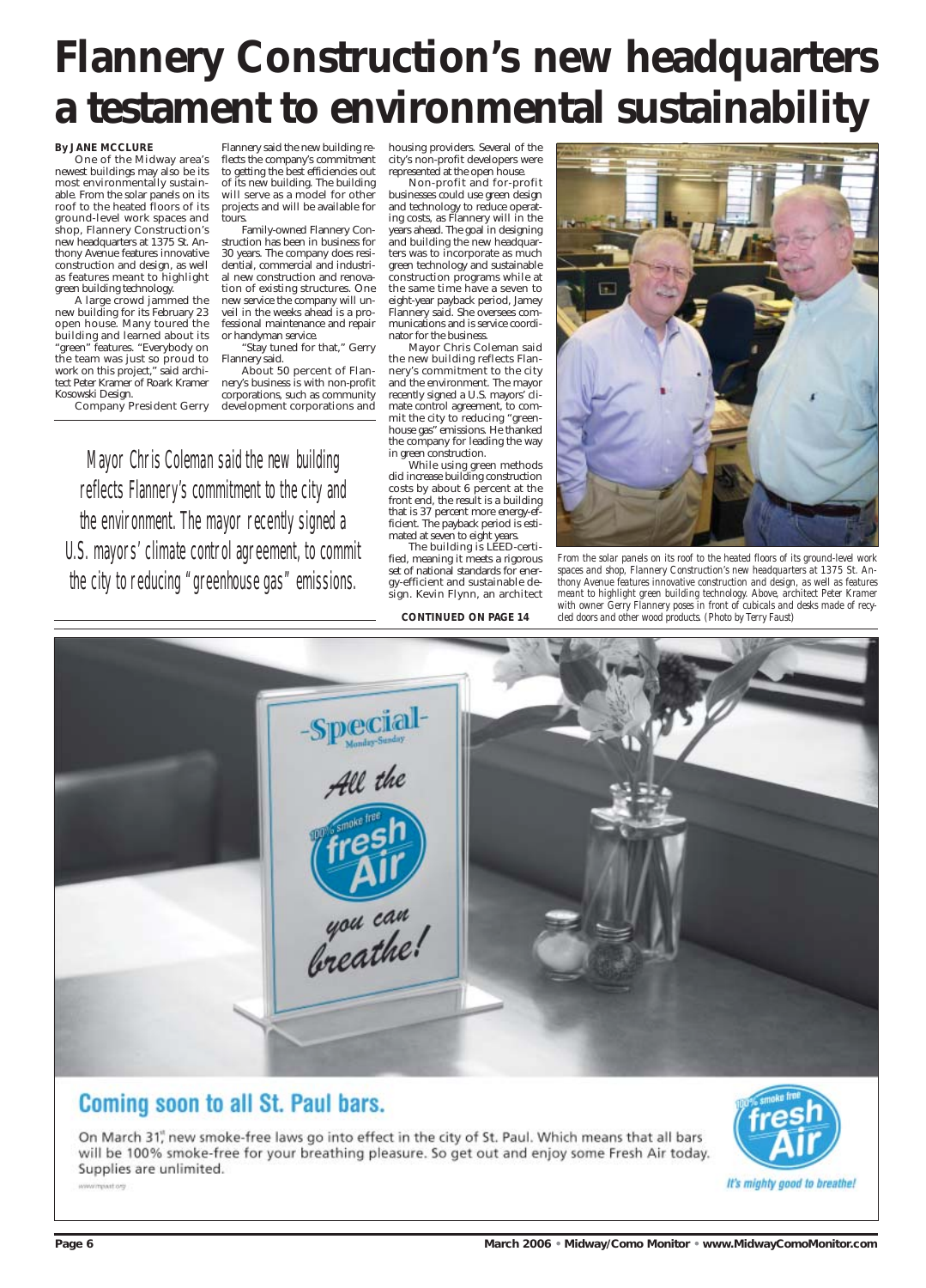#### **By JANE MCCLURE**

One of the Midway area's newest buildings may also be its most environmentally sustainable. From the solar panels on its roof to the heated floors of its ground-level work spaces and shop, Flannery Construction's new headquarters at 1375 St. Anthony Avenue features innovative construction and design, as well as features meant to highlight green building technology.

A large crowd jammed the new building for its February 23 open house. Many toured the building and learned about its "green" features. "Everybody on the team was just so proud to work on this project," said architect Peter Kramer of Roark Kramer Kosowski Design.

Company President Gerry

Flannery said the new building reflects the company's commitment to getting the best efficiencies out of its new building. The building will serve as a model for other projects and will be available for tours.

Family-owned Flannery Construction has been in business for 30 years. The company does residential, commercial and industrial new construction and renovation of existing structures. One new service the company will unveil in the weeks ahead is a professional maintenance and repair or handyman service.

"Stay tuned for that," Gerry Flannery said.

> The building is LEED-certified, meaning it meets a rigorous set of national standards for energy-efficient and sustainable design. Kevin Flynn, an architect

About 50 percent of Flannery's business is with non-profit corporations, such as community development corporations and

housing providers. Several of the city's non-profit developers were represented at the open house.

Non-profit and for-profit businesses could use green design and technology to reduce operating costs, as Flannery will in the years ahead. The goal in designing and building the new headquarters was to incorporate as much green technology and sustainable construction programs while at the same time have a seven to eight-year payback period, Jamey Flannery said. She oversees communications and is service coordinator for the business.

Mayor Chris Coleman said the new building reflects Flannery's commitment to the city and the environment. The mayor recently signed a U.S. mayors' climate control agreement, to commit the city to reducing "greenhouse gas" emissions. He thanked the company for leading the way in green construction.

While using green methods did increase building construction costs by about 6 percent at the front end, the result is a building that is 37 percent more energy-efficient. The payback period is estimated at seven to eight years.

#### **CONTINUED ON PAGE 14**

#### **Page 6 March 2006 • Midway/Como Monitor • www.MidwayComoMonitor.com**

## **Flannery Construction's new headquarters a testament to environmental sustainability**



*From the solar panels on its roof to the heated floors of its ground-level work spaces and shop, Flannery Construction's new headquarters at 1375 St. Anthony Avenue features innovative construction and design, as well as features meant to highlight green building technology. Above, architect Peter Kramer with owner Gerry Flannery poses in front of cubicals and desks made of recycled doors and other wood products. (Photo by Terry Faust)*



Mayor Chris Coleman said the new building reflects Flannery's commitment to the city and the environment. The mayor recently signed a U.S. mayors' climate control agreement, to commit the city to reducing "greenhouse gas" emissions.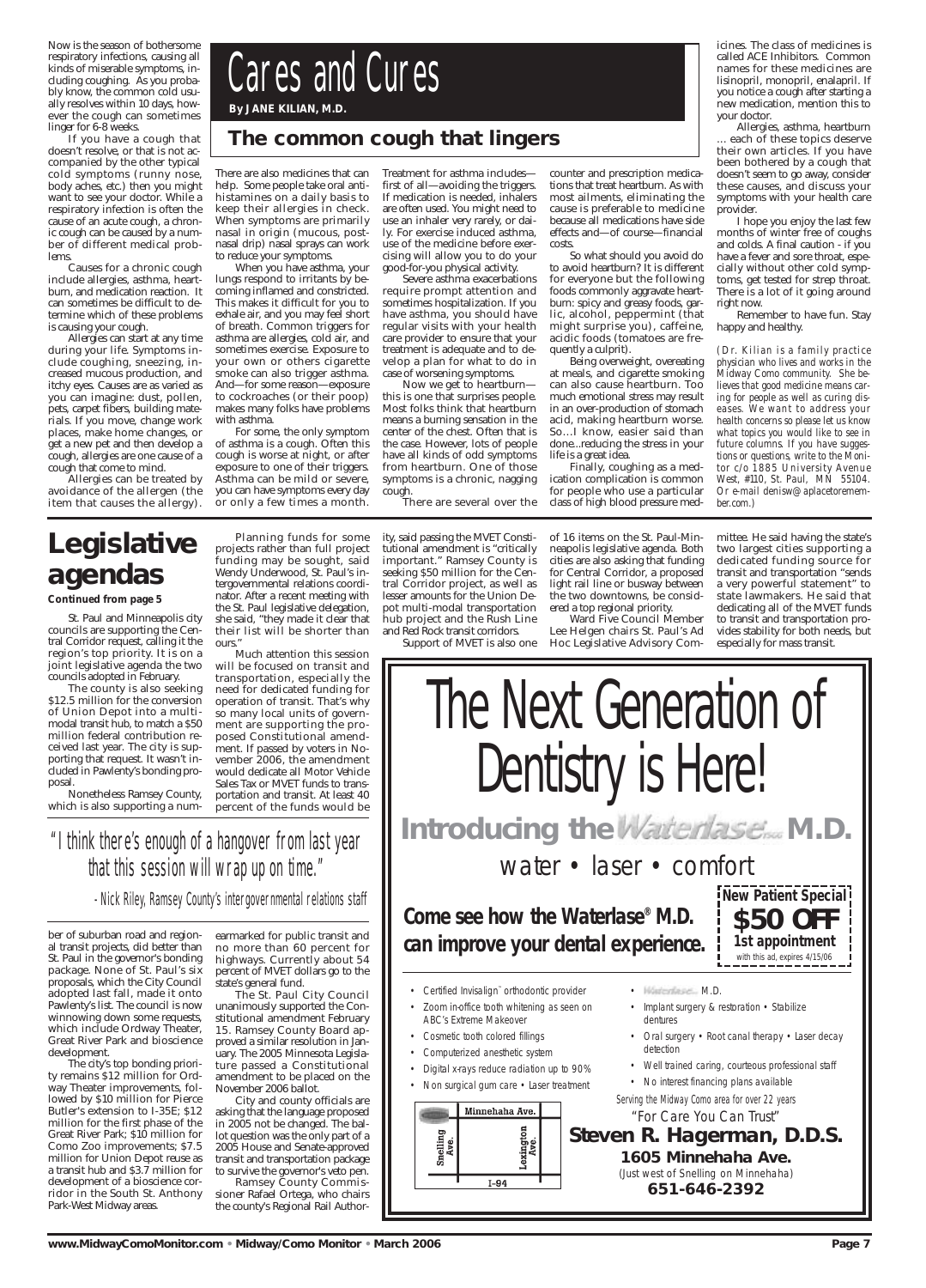## **Legislative agendas**

#### **Continued from page 5**

St. Paul and Minneapolis city councils are supporting the Central Corridor request, calling it the region's top priority. It is on a joint legislative agenda the two councils adopted in February.

The county is also seeking \$12.5 million for the conversion of Union Depot into a multimodal transit hub, to match a \$50 million federal contribution received last year. The city is supporting that request. It wasn't included in Pawlenty's bonding proposal.

Nonetheless Ramsey County, which is also supporting a num-

ber of suburban road and regional transit projects, did better than St. Paul in the governor's bonding package. None of St. Paul's six proposals, which the City Council adopted last fall, made it onto

Pawlenty's list. The council is now winnowing down some requests, which include Ordway Theater, Great River Park and bioscience development.

The city's top bonding priority remains \$12 million for Ordway Theater improvements, followed by \$10 million for Pierce Butler's extension to I-35E; \$12 million for the first phase of the Great River Park; \$10 million for Como Zoo improvements; \$7.5 million for Union Depot reuse as a transit hub and \$3.7 million for development of a bioscience corridor in the South St. Anthony Park-West Midway areas.

Planning funds for some projects rather than full project funding may be sought, said Wendy Underwood, St. Paul's intergovernmental relations coordinator. After a recent meeting with the St. Paul legislative delegation, she said, "they made it clear that their list will be shorter than ours."

Much attention this session will be focused on transit and transportation, especially the need for dedicated funding for operation of transit. That's why so many local units of government are supporting the proposed Constitutional amendment. If passed by voters in November 2006, the amendment would dedicate all Motor Vehicle Sales Tax or MVET funds to transportation and transit. At least 40 percent of the funds would be

earmarked for public transit and no more than 60 percent for highways. Currently about 54 percent of MVET dollars go to the

state's general fund. The St. Paul City Council unanimously supported the Constitutional amendment February 15. Ramsey County Board approved a similar resolution in January. The 2005 Minnesota Legislature passed a Constitutional amendment to be placed on the November 2006 ballot.

City and county officials are asking that the language proposed in 2005 not be changed. The ballot question was the only part of a 2005 House and Senate-approved transit and transportation package to survive the governor's veto pen.

Ramsey County Commissioner Rafael Ortega, who chairs the county's Regional Rail Author-

ity, said passing the MVET Constitutional amendment is "critically important." Ramsey County is seeking \$50 million for the Central Corridor project, as well as lesser amounts for the Union Depot multi-modal transportation hub project and the Rush Line and Red Rock transit corridors.

Support of MVET is also one

of 16 items on the St. Paul-Minneapolis legislative agenda. Both cities are also asking that funding for Central Corridor, a proposed light rail line or busway between the two downtowns, be considered a top regional priority.

Ward Five Council Member Lee Helgen chairs St. Paul's Ad Hoc Legislative Advisory Committee. He said having the state's two largest cities supporting a dedicated funding source for transit and transportation "sends a very powerful statement" to state lawmakers. He said that dedicating all of the MVET funds to transit and transportation provides stability for both needs, but especially for mass transit.

Now is the season of bothersome respiratory infections, causing all kinds of miserable symptoms, including coughing. As you probably know, the common cold usually resolves within 10 days, however the cough can sometimes linger for 6-8 weeks.

If you have a cough that doesn't resolve, or that is not accompanied by the other typical cold symptoms (runny nose, body aches, etc.) then you might want to see your doctor. While a respiratory infection is often the cause of an acute cough, a chronic cough can be caused by a number of different medical problems.

Causes for a chronic cough include allergies, asthma, heartburn, and medication reaction. It can sometimes be difficult to determine which of these problems is causing your cough.

Allergies can start at any time during your life. Symptoms include coughing, sneezing, increased mucous production, and itchy eyes. Causes are as varied as you can imagine: dust, pollen, pets, carpet fibers, building materials. If you move, change work places, make home changes, or get a new pet and then develop a cough, allergies are one cause of a cough that come to mind.

- Implant surgery & restoration Stabilize dentures
- Oral surgery Root canal therapy Laser decay detection
- Well trained caring, courteous professional staff
- No interest financing plans available

Allergies can be treated by avoidance of the allergen (the item that causes the allergy).

There are also medicines that can help. Some people take oral antihistamines on a daily basis to keep their allergies in check. When symptoms are primarily nasal in origin (mucous, postnasal drip) nasal sprays can work to reduce your symptoms.

When you have asthma, your lungs respond to irritants by becoming inflamed and constricted. This makes it difficult for you to exhale air, and you may feel short of breath. Common triggers for asthma are allergies, cold air, and sometimes exercise. Exposure to your own or others cigarette smoke can also trigger asthma. And—for some reason—exposure to cockroaches (or their poop) makes many folks have problems with asthma.

For some, the only symptom of asthma is a cough. Often this cough is worse at night, or after exposure to one of their triggers. Asthma can be mild or severe, you can have symptoms every day or only a few times a month.

Treatment for asthma includes first of all—avoiding the triggers. If medication is needed, inhalers are often used. You might need to use an inhaler very rarely, or daily. For exercise induced asthma, use of the medicine before exercising will allow you to do your good-for-you physical activity.

Severe asthma exacerbations require prompt attention and sometimes hospitalization. If you have asthma, you should have regular visits with your health care provider to ensure that your treatment is adequate and to develop a plan for what to do in case of worsening symptoms.

Now we get to heartburn this is one that surprises people. Most folks think that heartburn means a burning sensation in the center of the chest. Often that is the case. However, lots of people have all kinds of odd symptoms from heartburn. One of those symptoms is a chronic, nagging cough.

There are several over the

counter and prescription medications that treat heartburn. As with most ailments, eliminating the cause is preferable to medicine because all medications have side effects and—of course—financial costs.

So what should you avoid do to avoid heartburn? It is different for everyone but the following foods commonly aggravate heartburn: spicy and greasy foods, garlic, alcohol, peppermint (that might surprise you), caffeine, acidic foods (tomatoes are frequently a culprit).

Being overweight, overeating at meals, and cigarette smoking can also cause heartburn. Too much emotional stress may result in an over-production of stomach acid, making heartburn worse. So...I know, easier said than done...reducing the stress in your life is a great idea.

Finally, coughing as a medication complication is common for people who use a particular class of high blood pressure medicines. The class of medicines is called ACE Inhibitors. Common names for these medicines are lisinopril, monopril, enalapril. If you notice a cough after starting a new medication, mention this to your doctor.

Allergies, asthma, heartburn ... each of these topics deserve their own articles. If you have been bothered by a cough that doesn't seem to go away, consider these causes, and discuss your symptoms with your health care provider.

I hope you enjoy the last few months of winter free of coughs and colds. A final caution - if you have a fever and sore throat, especially without other cold symptoms, get tested for strep throat. There is a lot of it going around right now.

Remember to have fun. Stay happy and healthy.

*(Dr. Kilian is a family practice physician who lives and works in the Midway Como community. She believes that good medicine means caring for people as well as curing diseases. We want to address your health concerns so please let us know what topics you would like to see in future columns. If you have suggestions or questions, write to the Monitor c/o 1885 University Avenue West, #110, St. Paul, MN 55104. Or e-mail denisw@aplacetoremember.com.)*

- Zoom in-office tooth whitening as seen on ABC's Extreme Makeover
- Cosmetic tooth colored fillings
- Computerized anesthetic system
- Digital x-rays reduce radiation up to 90%
- Non surgical gum care Laser treatment





*Serving the Midway Como area for over 22 years* "For Care You Can Trust"

**Steven R. Hagerman, D.D.S. 1605 Minnehaha Ave.** (Just west of Snelling on Minnehaha)

**651-646-2392**

### **The common cough that lingers**

# Cares and Cures

**By JANE KILIAN, M.D.**

"I think there's enough of a hangover from last year

that this session will wrap up on time."

- Nick Riley, Ramsey County's intergovernmental relations staff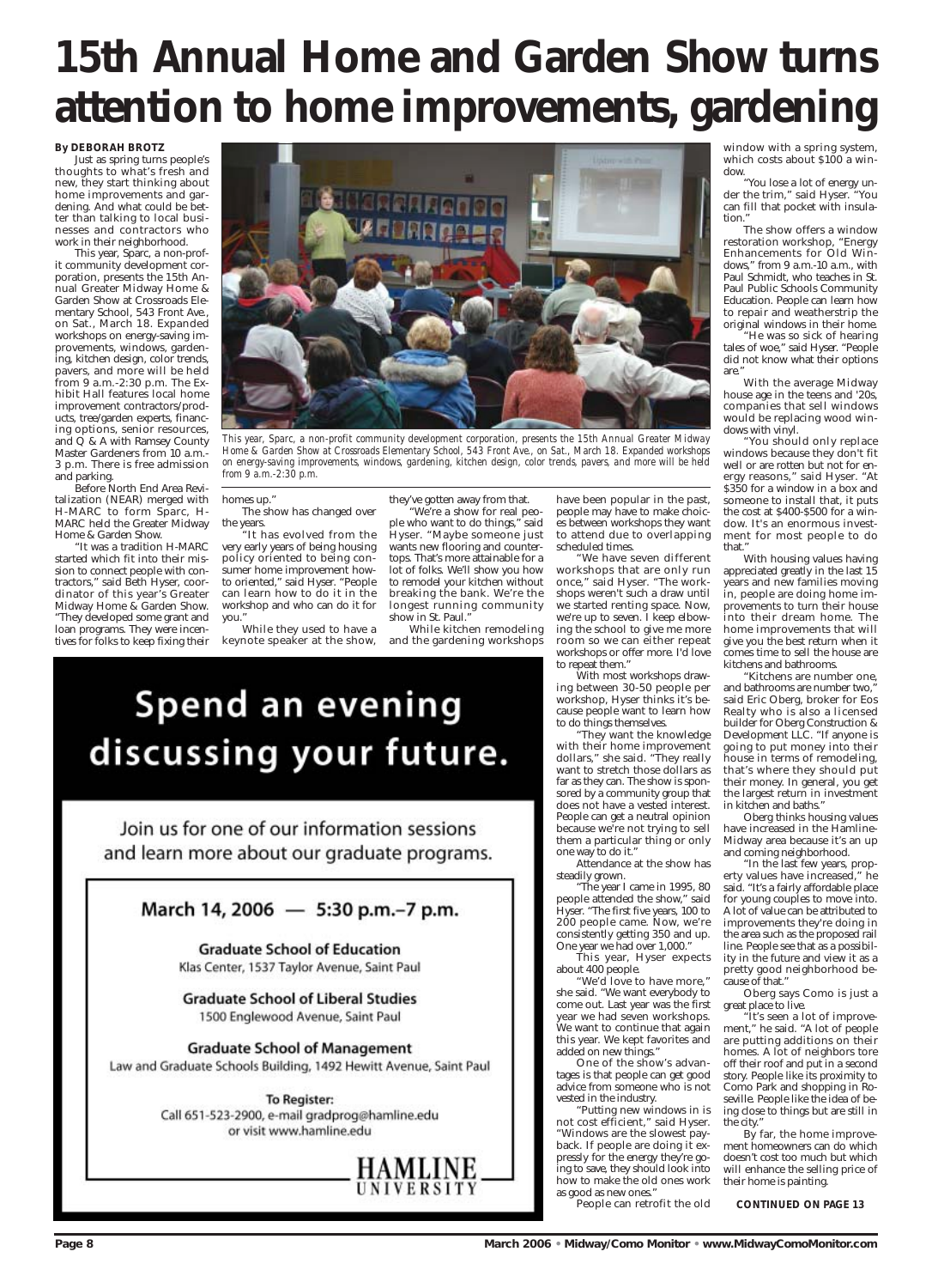#### **By DEBORAH BROTZ**

Just as spring turns people's thoughts to what's fresh and new, they start thinking about home improvements and gardening. And what could be better than talking to local businesses and contractors who work in their neighborhood.

This year, Sparc, a non-profit community development corporation, presents the 15th Annual Greater Midway Home & Garden Show at Crossroads Elementary School, 543 Front Ave., on Sat., March 18. Expanded workshops on energy-saving improvements, windows, gardening, kitchen design, color trends, pavers, and more will be held from 9 a.m.-2:30 p.m. The Exhibit Hall features local home improvement contractors/products, tree/garden experts, financing options, senior resources, and Q & A with Ramsey County Master Gardeners from 10 a.m.-3 p.m. There is free admission and parking.

> "It has evolved from the very early years of being housing policy oriented to being consumer home improvement howto oriented," said Hyser. "People can learn how to do it in the workshop and who can do it for you.

Before North End Area Revitalization (NEAR) merged with H-MARC to form Sparc, H-MARC held the Greater Midway Home & Garden Show.

"It was a tradition H-MARC started which fit into their mission to connect people with contractors," said Beth Hyser, coordinator of this year's Greater Midway Home & Garden Show. "They developed some grant and loan programs. They were incentives for folks to keep fixing their homes up."

The show has changed over the years.

While they used to have a keynote speaker at the show, they've gotten away from that.

"We're a show for real people who want to do things," said Hyser. "Maybe someone just wants new flooring and countertops. That's more attainable for a lot of folks. We'll show you how to remodel your kitchen without breaking the bank. We're the longest running community show in St. Paul."

While kitchen remodeling and the gardening workshops have been popular in the past, people may have to make choices between workshops they want to attend due to overlapping scheduled times.

"We have seven different workshops that are only run once," said Hyser. "The workshops weren't such a draw until we started renting space. Now, we're up to seven. I keep elbowing the school to give me more room so we can either repeat workshops or offer more. I'd love to repeat them."

With most workshops drawing between 30-50 people per workshop, Hyser thinks it's because people want to learn how to do things themselves.

"They want the knowledge with their home improvement dollars," she said. "They really want to stretch those dollars as far as they can. The show is sponsored by a community group that does not have a vested interest. People can get a neutral opinion because we're not trying to sell them a particular thing or only one way to do it."

Attendance at the show has steadily grown.

"The year I came in 1995, 80 people attended the show," said Hyser. "The first five years, 100 to 200 people came. Now, we're consistently getting 350 and up. One year we had over 1,000."

This year, Hyser expects about 400 people.

"We'd love to have more," she said. "We want everybody to come out. Last year was the first year we had seven workshops. We want to continue that again this year. We kept favorites and added on new things." One of the show's advantages is that people can get good advice from someone who is not vested in the industry. "Putting new windows in is not cost efficient," said Hyser. "Windows are the slowest payback. If people are doing it expressly for the energy they're going to save, they should look into how to make the old ones work as good as new ones." People can retrofit the old

window with a spring system, which costs about \$100 a window.

"You lose a lot of energy under the trim," said Hyser. "You can fill that pocket with insulation."

The show offers a window restoration workshop, "Energy Enhancements for Old Windows," from 9 a.m.-10 a.m., with Paul Schmidt, who teaches in St. Paul Public Schools Community Education. People can learn how to repair and weatherstrip the original windows in their home.

"He was so sick of hearing tales of woe," said Hyser. "People did not know what their options are."

With the average Midway house age in the teens and '20s, companies that sell windows would be replacing wood windows with vinyl.

"You should only replace windows because they don't fit well or are rotten but not for energy reasons," said Hyser. "At \$350 for a window in a box and someone to install that, it puts the cost at \$400-\$500 for a window. It's an enormous investment for most people to do that."

With housing values having appreciated greatly in the last 15 years and new families moving in, people are doing home improvements to turn their house into their dream home. The home improvements that will give you the best return when it comes time to sell the house are kitchens and bathrooms.

"Kitchens are number one, and bathrooms are number two," said Eric Oberg, broker for Eos Realty who is also a licensed builder for Oberg Construction & Development LLC. "If anyone is going to put money into their house in terms of remodeling, that's where they should put their money. In general, you get the largest return in investment in kitchen and baths."

Oberg thinks housing values have increased in the Hamline-Midway area because it's an up and coming neighborhood.

"In the last few years, property values have increased," he said. "It's a fairly affordable place for young couples to move into. A lot of value can be attributed to improvements they're doing in the area such as the proposed rail line. People see that as a possibility in the future and view it as a pretty good neighborhood because of that."

Oberg says Como is just a

Spend an evening discussing your future.

Join us for one of our information sessions and learn more about our graduate programs.

March 14, 2006 - 5:30 p.m. - 7 p.m.

**Graduate School of Education** Klas Center, 1537 Taylor Avenue, Saint Paul

**Graduate School of Liberal Studies** 

1500 Englewood Avenue, Saint Paul

#### **Graduate School of Management** Law and Graduate Schools Building, 1492 Hewitt Avenue, Saint Paul

#### To Register: Call 651-523-2900, e-mail gradprog@hamline.edu or visit www.hamline.edu



great place to live.

"It's seen a lot of improvement," he said. "A lot of people are putting additions on their homes. A lot of neighbors tore off their roof and put in a second story. People like its proximity to Como Park and shopping in Roseville. People like the idea of being close to things but are still in the city."

By far, the home improvement homeowners can do which doesn't cost too much but which will enhance the selling price of their home is painting.

**CONTINUED ON PAGE 13**

**Page 8 March 2006 • Midway/Como Monitor • www.MidwayComoMonitor.com** 

## **15th Annual Home and Garden Show turns attention to home improvements, gardening**



*This year, Sparc, a non-profit community development corporation, presents the 15th Annual Greater Midway Home & Garden Show at Crossroads Elementary School, 543 Front Ave., on Sat., March 18. Expanded workshops on energy-saving improvements, windows, gardening, kitchen design, color trends, pavers, and more will be held from 9 a.m.-2:30 p.m.*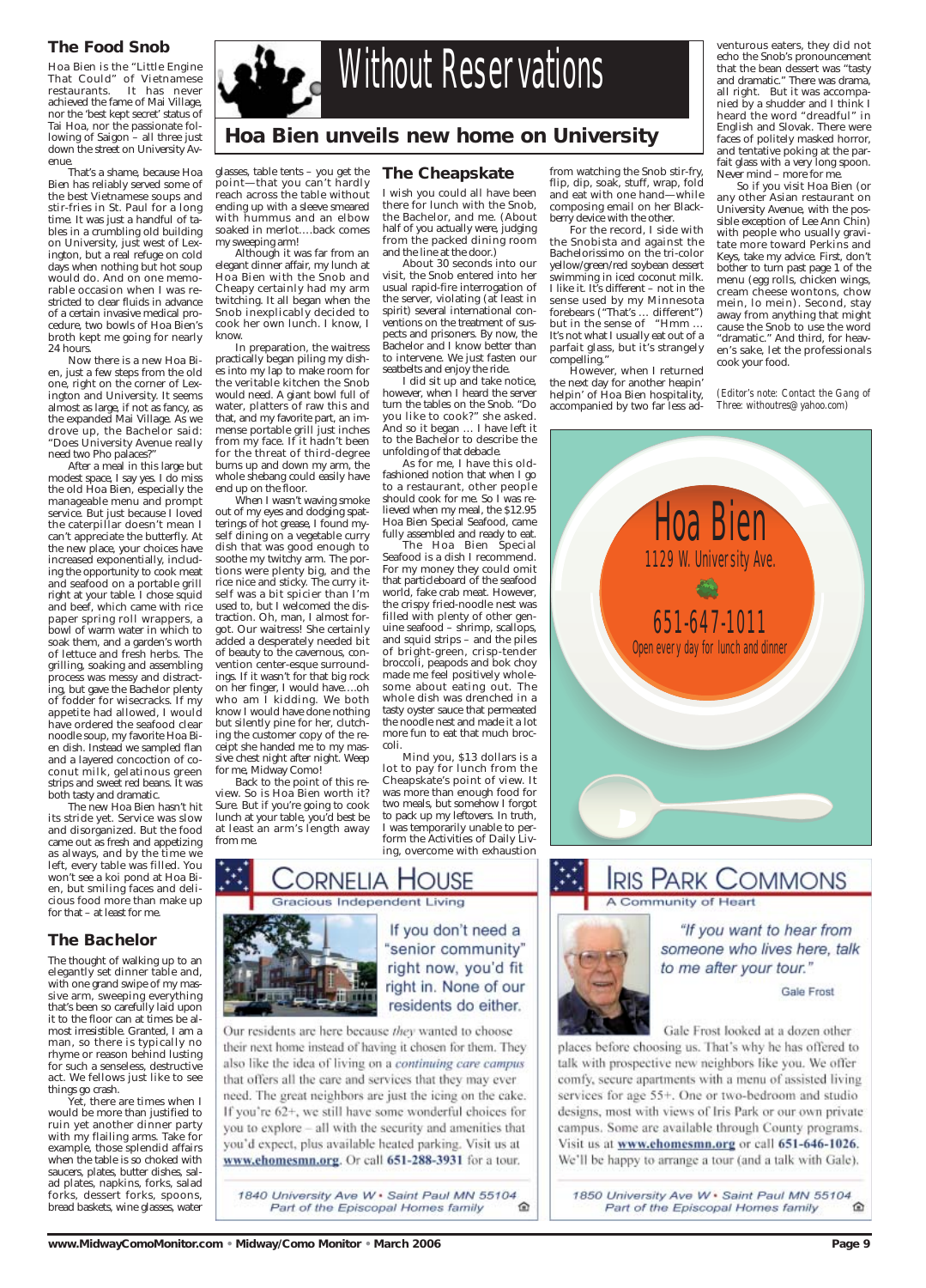#### **The Food Snob**

Hoa Bien is the "Little Engine That Could" of Vietnamese restaurants. It has never achieved the fame of Mai Village, nor the 'best kept secret' status of Tai Hoa, nor the passionate following of Saigon – all three just down the street on University Avenue.

That's a shame, because Hoa Bien has reliably served some of the best Vietnamese soups and stir-fries in St. Paul for a long time. It was just a handful of tables in a crumbling old building on University, just west of Lexington, but a real refuge on cold days when nothing but hot soup would do. And on one memorable occasion when I was restricted to clear fluids in advance of a certain invasive medical procedure, two bowls of Hoa Bien's broth kept me going for nearly 24 hours.

Now there is a new Hoa Bien, just a few steps from the old one, right on the corner of Lexington and University. It seems almost as large, if not as fancy, as the expanded Mai Village. As we drove up, the Bachelor said: "Does University Avenue really need two Pho palaces?"

After a meal in this large but modest space, I say yes. I do miss the old Hoa Bien, especially the manageable menu and prompt service. But just because I loved the caterpillar doesn't mean I can't appreciate the butterfly. At the new place, your choices have increased exponentially, including the opportunity to cook meat and seafood on a portable grill right at your table. I chose squid and beef, which came with rice paper spring roll wrappers, a bowl of warm water in which to soak them, and a garden's worth of lettuce and fresh herbs. The grilling, soaking and assembling process was messy and distracting, but gave the Bachelor plenty of fodder for wisecracks. If my appetite had allowed, I would have ordered the seafood clear noodle soup, my favorite Hoa Bien dish. Instead we sampled flan and a layered concoction of coconut milk, gelatinous green strips and sweet red beans. It was both tasty and dramatic.

The new Hoa Bien hasn't hit its stride yet. Service was slow and disorganized. But the food came out as fresh and appetizing as always, and by the time we left, every table was filled. You won't see a koi pond at Hoa Bien, but smiling faces and delicious food more than make up for that – at least for me.

### **The Bachelor**

The thought of walking up to an elegantly set dinner table and, with one grand swipe of my massive arm, sweeping everything that's been so carefully laid upon it to the floor can at times be almost irresistible. Granted, I am a man, so there is typically no rhyme or reason behind lusting for such a senseless, destructive act. We fellows just like to see things go crash. Yet, there are times when I would be more than justified to ruin yet another dinner party with my flailing arms. Take for example, those splendid affairs when the table is so choked with saucers, plates, butter dishes, salad plates, napkins, forks, salad forks, dessert forks, spoons, bread baskets, wine glasses, water glasses, table tents – you get the point—that you can't hardly reach across the table without ending up with a sleeve smeared with hummus and an elbow soaked in merlot….back comes my sweeping arm!

Although it was far from an elegant dinner affair, my lunch at Hoa Bien with the Snob and Cheapy certainly had my arm twitching. It all began when the Snob inexplicably decided to cook her own lunch. I know, I know.

In preparation, the waitress practically began piling my dishes into my lap to make room for the veritable kitchen the Snob would need. A giant bowl full of water, platters of raw this and that, and my favorite part, an immense portable grill just inches from my face. If it hadn't been for the threat of third-degree burns up and down my arm, the whole shebang could easily have end up on the floor.

When I wasn't waving smoke out of my eyes and dodging spatterings of hot grease, I found myself dining on a vegetable curry dish that was good enough to soothe my twitchy arm. The portions were plenty big, and the rice nice and sticky. The curry itself was a bit spicier than I'm used to, but I welcomed the distraction. Oh, man, I almost forgot. Our waitress! She certainly added a desperately needed bit of beauty to the cavernous, convention center-esque surroundings. If it wasn't for that big rock on her finger, I would have….oh who am I kidding. We both know I would have done nothing but silently pine for her, clutching the customer copy of the receipt she handed me to my massive chest night after night. Weep for me, Midway Como!

Back to the point of this review. So is Hoa Bien worth it? Sure. But if you're going to cook lunch at your table, you'd best be at least an arm's length away from me.

#### **The Cheapskate**

I wish you could all have been there for lunch with the Snob, the Bachelor, and me. (About half of you actually were, judging from the packed dining room and the line at the door.)

About 30 seconds into our visit, the Snob entered into her usual rapid-fire interrogation of the server, violating (at least in spirit) several international conventions on the treatment of suspects and prisoners. By now, the Bachelor and I know better than to intervene. We just fasten our seatbelts and enjoy the ride.

I did sit up and take notice, however, when I heard the server turn the tables on the Snob. "Do you like to cook?" she asked. And so it began … I have left it to the Bachelor to describe the unfolding of that debacle.

As for me, I have this oldfashioned notion that when I go to a restaurant, other people should cook for me. So I was relieved when my meal, the \$12.95 Hoa Bien Special Seafood, came fully assembled and ready to eat.

The Hoa Bien Special Seafood is a dish I recommend. For my money they could omit that particleboard of the seafood world, fake crab meat. However, the crispy fried-noodle nest was filled with plenty of other genuine seafood – shrimp, scallops, and squid strips – and the piles of bright-green, crisp-tender broccoli, peapods and bok choy made me feel positively wholesome about eating out. The whole dish was drenched in a tasty oyster sauce that permeated the noodle nest and made it a lot more fun to eat that much broccoli.

Mind you, \$13 dollars is a lot to pay for lunch from the Cheapskate's point of view. It was more than enough food for two meals, but somehow I forgot to pack up my leftovers. In truth, I was temporarily unable to perform the Activities of Daily Living, overcome with exhaustion

USE

If you don't need a "senior community"

right now, you'd fit

right in. None of our

from watching the Snob stir-fry, flip, dip, soak, stuff, wrap, fold and eat with one hand—while composing email on her Blackberry device with the other.

For the record, I side with the Snobista and against the Bachelorissimo on the tri-color yellow/green/red soybean dessert swimming in iced coconut milk. I like it. It's different – not in the sense used by my Minnesota forebears ("That's … different") but in the sense of "Hmm … It's not what I usually eat out of a parfait glass, but it's strangely compelling."

However, when I returned the next day for another heapin' helpin' of Hoa Bien hospitality, accompanied by two far less adventurous eaters, they did not echo the Snob's pronouncement that the bean dessert was "tasty and dramatic." There was drama, all right. But it was accompanied by a shudder and I think I heard the word "dreadful" in English and Slovak. There were faces of politely masked horror, and tentative poking at the parfait glass with a very long spoon. Never mind – more for me.

So if you visit Hoa Bien (or any other Asian restaurant on University Avenue, with the possible exception of Lee Ann Chin) with people who usually gravitate more toward Perkins and Keys, take my advice. First, don't bother to turn past page 1 of the menu (egg rolls, chicken wings, cream cheese wontons, chow mein, lo mein). Second, stay away from anything that might cause the Snob to use the word "dramatic." And third, for heaven's sake, let the professionals cook your food.

*(Editor's note: Contact the Gang of Three: withoutres@yahoo.com)*

### **Hoa Bien unveils new home on University**









"If you want to hear from someone who lives here, talk to me after your tour."

Gale Frost



cious Independent Living

ORNELIA

residents do either.

Our residents are here because they wanted to choose their next home instead of having it chosen for them. They also like the idea of living on a *continuing care campus* that offers all the care and services that they may ever need. The great neighbors are just the icing on the cake. If you're 62+, we still have some wonderful choices for you to explore - all with the security and amenities that you'd expect, plus available heated parking. Visit us at www.ehomesmn.org. Or call 651-288-3931 for a tour.

1840 University Ave W · Saint Paul MN 55104 Part of the Episcopal Homes family

Gale Frost looked at a dozen other

places before choosing us. That's why he has offered to talk with prospective new neighbors like you. We offer comfy, secure apartments with a menu of assisted living services for age 55+. One or two-bedroom and studio designs, most with views of Iris Park or our own private campus. Some are available through County programs. Visit us at www.ehomesmn.org or call 651-646-1026. We'll be happy to arrange a tour (and a talk with Gale).

1850 University Ave W · Saint Paul MN 55104 Part of the Episcopal Homes family ⋒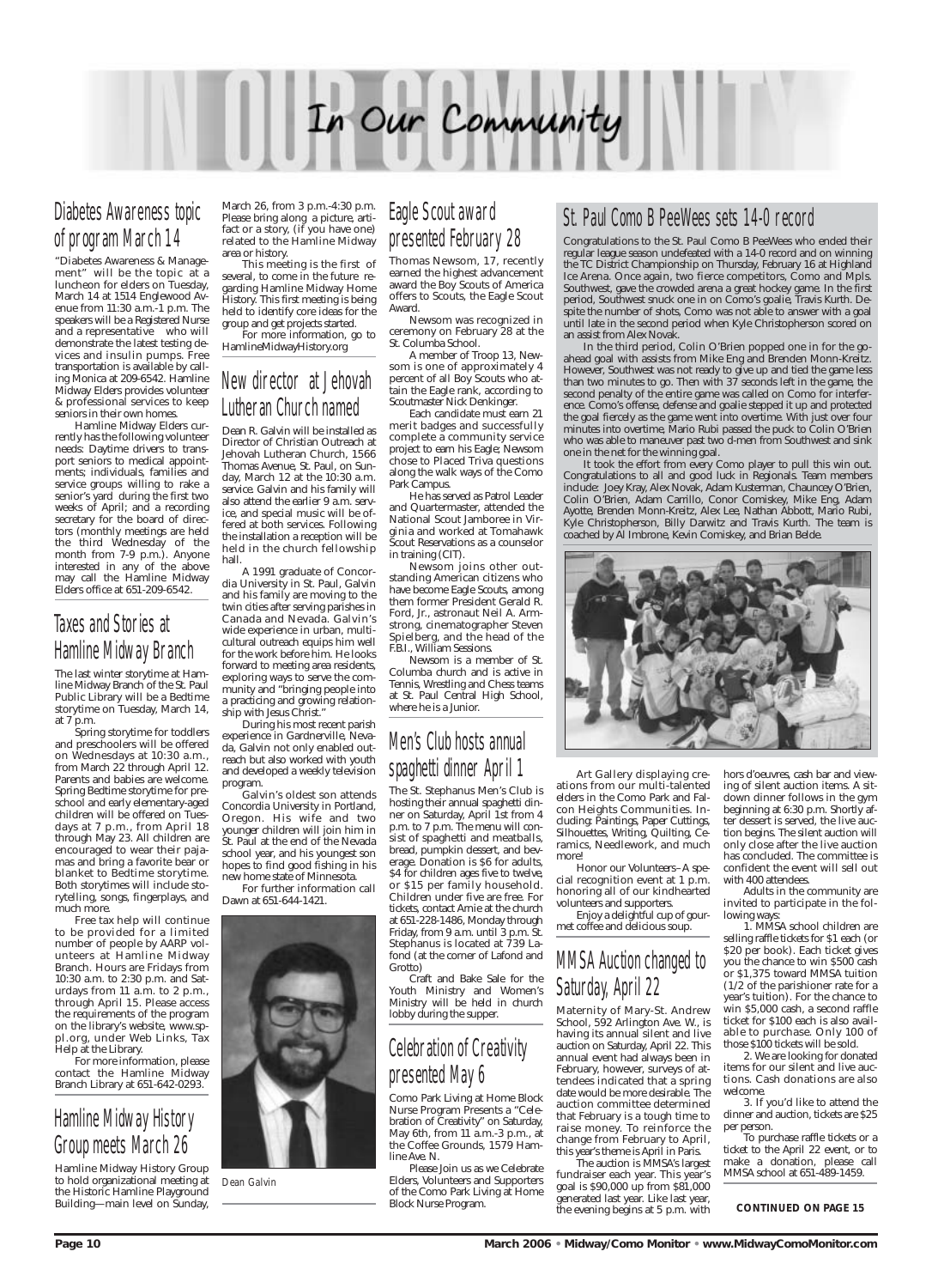

## Diabetes Awareness topic of program March 14

"Diabetes Awareness & Management" will be the topic at a luncheon for elders on Tuesday, March 14 at 1514 Englewood Avenue from 11:30 a.m.-1 p.m. The speakers will be a Registered Nurse and a representative who will demonstrate the latest testing devices and insulin pumps. Free transportation is available by calling Monica at 209-6542. Hamline Midway Elders provides volunteer & professional services to keep seniors in their own homes.

Hamline Midway Elders currently has the following volunteer needs: Daytime drivers to transport seniors to medical appointments; individuals, families and service groups willing to rake a senior's yard during the first two weeks of April; and a recording secretary for the board of directors (monthly meetings are held the third Wednesday of the month from 7-9 p.m.). Anyone interested in any of the above may call the Hamline Midway Elders office at 651-209-6542.

## Taxes and Stories at Hamline Midway Branch

The last winter storytime at Hamline Midway Branch of the St. Paul Public Library will be a Bedtime storytime on Tuesday, March 14, at 7 p.m.

Spring storytime for toddlers and preschoolers will be offered on Wednesdays at 10:30 a.m., from March 22 through April 12. Parents and babies are welcome. Spring Bedtime storytime for preschool and early elementary-aged children will be offered on Tuesdays at 7 p.m., from April 18 through May 23. All children are encouraged to wear their pajamas and bring a favorite bear or blanket to Bedtime storytime. Both storytimes will include storytelling, songs, fingerplays, and much more.

A 1991 graduate of Concordia University in St. Paul, Galvin and his family are moving to the twin cities after serving parishes in Canada and Nevada. Galvin's wide experience in urban, multicultural outreach equips him well for the work before him. He looks forward to meeting area residents, exploring ways to serve the community and "bringing people into a practicing and growing relationship with Jesus Christ."

Free tax help will continue to be provided for a limited number of people by AARP volunteers at Hamline Midway Branch. Hours are Fridays from 10:30 a.m. to 2:30 p.m. and Saturdays from 11 a.m. to 2 p.m., through April 15. Please access the requirements of the program on the library's website, www.sppl.org, under Web Links, Tax Help at the Library. For more information, please contact the Hamline Midway Branch Library at 651-642-0293.

## Hamline Midway History Group meets March 26

Hamline Midway History Group to hold organizational meeting at the Historic Hamline Playground Building—main level on Sunday,



March 26, from 3 p.m.-4:30 p.m. Please bring along a picture, artifact or a story, (if you have one) related to the Hamline Midway area or history.

This meeting is the first of several, to come in the future regarding Hamline Midway Home History. This first meeting is being held to identify core ideas for the group and get projects started.

For more information, go to HamlineMidwayHistory.org

## New director at Jehovah Lutheran Church named

Dean R. Galvin will be installed as Director of Christian Outreach at Jehovah Lutheran Church, 1566 Thomas Avenue, St. Paul, on Sunday, March 12 at the 10:30 a.m. service. Galvin and his family will also attend the earlier 9 a.m. service, and special music will be offered at both services. Following the installation a reception will be held in the church fellowship hall.

During his most recent parish experience in Gardnerville, Nevada, Galvin not only enabled outreach but also worked with youth and developed a weekly television program.

Galvin's oldest son attends Concordia University in Portland, Oregon. His wife and two younger children will join him in St. Paul at the end of the Nevada school year, and his youngest son hopes to find good fishing in his new home state of Minnesota.

For further information call Dawn at 651-644-1421.



*Dean Galvin*

## Eagle Scout award presented February 28

Thomas Newsom, 17, recently earned the highest advancement award the Boy Scouts of America offers to Scouts, the Eagle Scout Award.

Newsom was recognized in ceremony on February 28 at the St. Columba School.

A member of Troop 13, Newsom is one of approximately 4 percent of all Boy Scouts who attain the Eagle rank, according to Scoutmaster Nick Denkinger.

Each candidate must earn 21 merit badges and successfully complete a community service project to earn his Eagle; Newsom chose to Placed Triva questions along the walk ways of the Como Park Campus.

He has served as Patrol Leader and Quartermaster, attended the National Scout Jamboree in Virginia and worked at Tomahawk Scout Reservations as a counselor in training (CIT).

Newsom joins other outstanding American citizens who have become Eagle Scouts, among them former President Gerald R. Ford, Jr., astronaut Neil A. Armstrong, cinematographer Steven Spielberg, and the head of the F.B.I., William Sessions.

Newsom is a member of St. Columba church and is active in Tennis, Wrestling and Chess teams at St. Paul Central High School, where he is a Junior.

## Men's Club hosts annual spaghetti dinner April 1

The St. Stephanus Men's Club is hosting their annual spaghetti dinner on Saturday, April 1st from 4 p.m. to 7 p.m. The menu will consist of spaghetti and meatballs, bread, pumpkin dessert, and beverage. Donation is \$6 for adults, \$4 for children ages five to twelve, or \$15 per family household. Children under five are free. For tickets, contact Arnie at the church at 651-228-1486, Monday through Friday, from 9 a.m. until 3 p.m. St. Stephanus is located at 739 Lafond (at the corner of Lafond and Grotto)

Craft and Bake Sale for the Youth Ministry and Women's Ministry will be held in church

lobby during the supper.

## Celebration of Creativity presented May 6

Como Park Living at Home Block Nurse Program Presents a "Celebration of Creativity" on Saturday, May 6th, from 11 a.m.-3 p.m., at the Coffee Grounds, 1579 Hamline Ave. N.

Please Join us as we Celebrate Elders, Volunteers and Supporters of the Como Park Living at Home Block Nurse Program.

Art Gallery displaying creations from our multi-talented elders in the Como Park and Falcon Heights Communities. Including: Paintings, Paper Cuttings, Silhouettes, Writing, Quilting, Ceramics, Needlework, and much more!

Honor our Volunteers–A special recognition event at 1 p.m. honoring all of our kindhearted volunteers and supporters.

Enjoy a delightful cup of gourmet coffee and delicious soup.

MMSA Auction changed to Saturday, April 22 Maternity of Mary-St. Andrew School, 592 Arlington Ave. W., is having its annual silent and live auction on Saturday, April 22. This annual event had always been in February, however, surveys of attendees indicated that a spring date would be more desirable. The auction committee determined that February is a tough time to raise money. To reinforce the change from February to April, this year's theme is April in Paris. The auction is MMSA's largest fundraiser each year. This year's goal is \$90,000 up from \$81,000 generated last year. Like last year, the evening begins at 5 p.m. with

hors d'oeuvres, cash bar and viewing of silent auction items. A sitdown dinner follows in the gym beginning at 6:30 p.m. Shortly after dessert is served, the live auction begins. The silent auction will only close after the live auction has concluded. The committee is confident the event will sell out with 400 attendees.

Adults in the community are invited to participate in the following ways:

1. MMSA school children are selling raffle tickets for \$1 each (or \$20 per book). Each ticket gives you the chance to win \$500 cash or \$1,375 toward MMSA tuition (1/2 of the parishioner rate for a year's tuition). For the chance to win \$5,000 cash, a second raffle ticket for \$100 each is also available to purchase. Only 100 of those \$100 tickets will be sold.

2. We are looking for donated items for our silent and live auctions. Cash donations are also welcome.

3. If you'd like to attend the dinner and auction, tickets are \$25 per person.

To purchase raffle tickets or a ticket to the April 22 event, or to make a donation, please call MMSA school at 651-489-1459.

#### **CONTINUED ON PAGE 15**

**Page 10 March 2006 • Midway/Como Monitor • www.MidwayComoMonitor.com** 

## St. Paul Como B PeeWees sets 14-0 record

Congratulations to the St. Paul Como B PeeWees who ended their regular league season undefeated with a 14-0 record and on winning the TC District Championship on Thursday, February 16 at Highland Ice Arena. Once again, two fierce competitors, Como and Mpls. Southwest, gave the crowded arena a great hockey game. In the first period, Southwest snuck one in on Como's goalie, Travis Kurth. Despite the number of shots, Como was not able to answer with a goal until late in the second period when Kyle Christopherson scored on an assist from Alex Novak.

In the third period, Colin O'Brien popped one in for the goahead goal with assists from Mike Eng and Brenden Monn-Kreitz. However, Southwest was not ready to give up and tied the game less than two minutes to go. Then with 37 seconds left in the game, the second penalty of the entire game was called on Como for interference. Como's offense, defense and goalie stepped it up and protected the goal fiercely as the game went into overtime. With just over four minutes into overtime, Mario Rubi passed the puck to Colin O'Brien who was able to maneuver past two d-men from Southwest and sink one in the net for the winning goal.

It took the effort from every Como player to pull this win out. Congratulations to all and good luck in Regionals. Team members include: Joey Kray, Alex Novak, Adam Kusterman, Chauncey O'Brien, Colin O'Brien, Adam Carrillo, Conor Comiskey, Mike Eng, Adam Ayotte, Brenden Monn-Kreitz, Alex Lee, Nathan Abbott, Mario Rubi, Kyle Christopherson, Billy Darwitz and Travis Kurth. The team is coached by Al Imbrone, Kevin Comiskey, and Brian Belde.

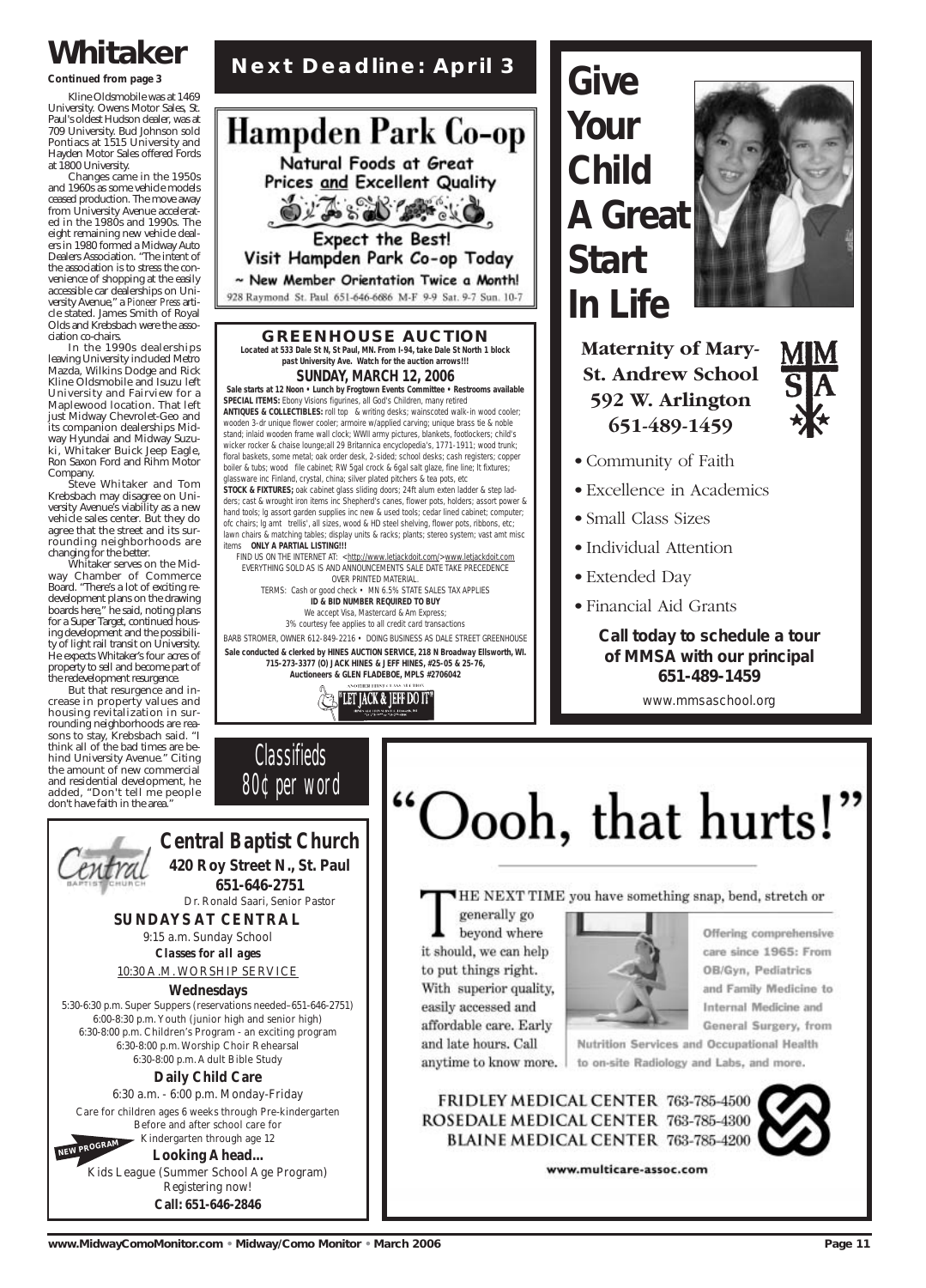**www.MidwayComoMonitor.com • Midway/Como Monitor • March 2006 Page 11**

## **Give Your Child A Great Start In Life**





- •Community of Faith
- •Excellence in Academics
- Small Class Sizes
- •Individual Attention
- Extended Day
- •Financial Aid Grants

**Call today to schedule a tour of MMSA with our principal 651-489-1459**

www.mmsaschool.org

**Central Baptist Church 420 Roy Street N., St. Paul 651-646-2751** *Dr. Ronald Saari, Senior Pastor* **SUNDAYS AT CENTRAL**

9:15 a.m. Sunday School *Classes for all ages* 10:30 A.M.WORSHIP SERVICE

5:30-6:30 p.m. Super Suppers (reservations needed–651-646-2751)

# "Oooh, that hurts!"

THE NEXT TIME you have something snap, bend, stretch or

generally go beyond where it should, we can help to put things right. With superior quality, easily accessed and affordable care. Early and late hours. Call anytime to know more.



Offering comprehensive care since 1965: From OB/Gyn, Pediatrics and Family Medicine to Internal Medicine and General Surgery, from

Nutrition Services and Occupational Health to on-site Radiology and Labs, and more.

**FRIDLEY MEDICAL CENTER 763-785-4500** ROSEDALE MEDICAL CENTER 763-785-4300 BLAINE MEDICAL CENTER 763-785-4200



www.multicare-assoc.com

**Wednesdays** 6:00-8:30 p.m. Youth (junior high and senior high) 6:30-8:00 p.m. Children's Program - an exciting program 6:30-8:00 p.m. Worship Choir Rehearsal 6:30-8:00 p.m. Adult Bible Study **Daily Child Care** 6:30 a.m. - 6:00 p.m. Monday-Friday Care for children ages 6 weeks through Pre-kindergarten Before and after school care for Kindergarten through age 12 **Looking Ahead...** Kids League (Summer School Age Program) *Registering now!* **Call: 651-646-2846 NEW PROGRAM**

But that resurgence and increase in property values and housing revitalization in surrounding neighborhoods are reasons to stay, Krebsbach said. "I think all of the bad times are behind University Avenue." Citing the amount of new commercial and residential development, he added, "Don't tell me people don't have faith in the area.

## **Whitaker**

Kline Oldsmobile was at 1469 University. Owens Motor Sales, St. Paul's oldest Hudson dealer, was at 709 University. Bud Johnson sold Pontiacs at 1515 University and Hayden Motor Sales offered Fords at 1800 University.

Changes came in the 1950s and 1960s as some vehicle models ceased production. The move away from University Avenue accelerated in the 1980s and 1990s. The eight remaining new vehicle dealers in 1980 formed a Midway Auto Dealers Association. "The intent of the association is to stress the convenience of shopping at the easily accessible car dealerships on University Avenue," a *Pioneer Press* article stated. James Smith of Royal Olds and Krebsbach were the association co-chairs.

In the 1990s dealerships leaving University included Metro Mazda, Wilkins Dodge and Rick Kline Oldsmobile and Isuzu left University and Fairview for a Maplewood location. That left just Midway Chevrolet-Geo and its companion dealerships Midway Hyundai and Midway Suzuki, Whitaker Buick Jeep Eagle, Ron Saxon Ford and Rihm Motor Company.



Steve Whitaker and Tom Krebsbach may disagree on University Avenue's viability as a new vehicle sales center. But they do agree that the street and its surrounding neighborhoods are changing for the better.

Whitaker serves on the Midway Chamber of Commerce Board. "There's a lot of exciting redevelopment plans on the drawing boards here," he said, noting plans for a Super Target, continued housing development and the possibility of light rail transit on University. He expects Whitaker's four acres of property to sell and become part of the redevelopment resurgence.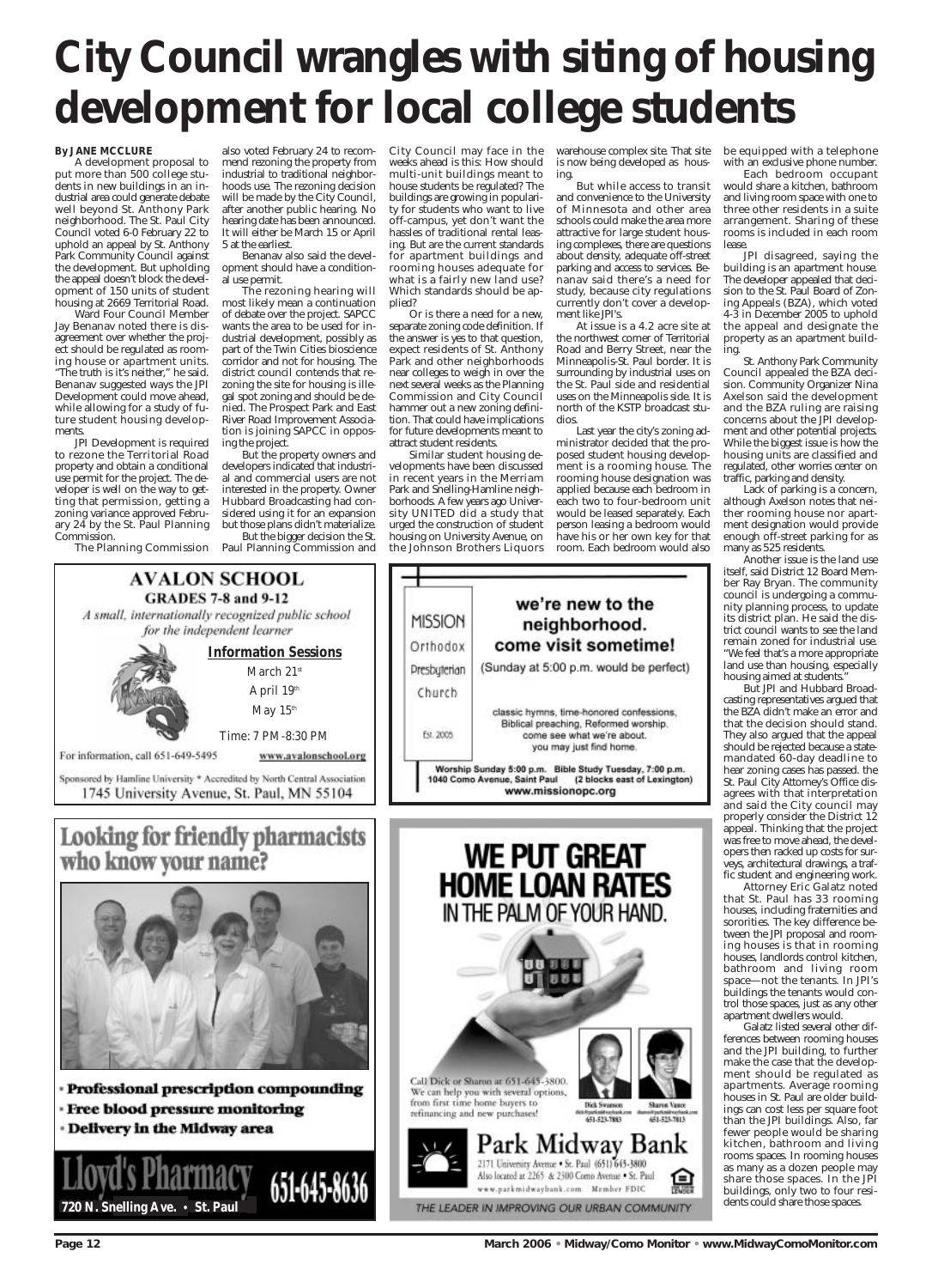#### **By JANE MCCLURE**

A development proposal to put more than 500 college students in new buildings in an industrial area could generate debate well beyond St. Anthony Park neighborhood. The St. Paul City Council voted 6-0 February 22 to uphold an appeal by St. Anthony Park Community Council against the development. But upholding the appeal doesn't block the development of 150 units of student housing at 2669 Territorial Road.

Ward Four Council Member Jay Benanav noted there is disagreement over whether the project should be regulated as rooming house or apartment units. "The truth is it's neither," he said. Benanav suggested ways the JPI Development could move ahead, while allowing for a study of future student housing developments.

JPI Development is required to rezone the Territorial Road property and obtain a conditional use permit for the project. The developer is well on the way to getting that permission, getting a zoning variance approved February 24 by the St. Paul Planning Commission.

also voted February 24 to recommend rezoning the property from industrial to traditional neighborhoods use. The rezoning decision will be made by the City Council, after another public hearing. No hearing date has been announced. It will either be March 15 or April 5 at the earliest.

Benanav also said the development should have a conditional use permit.

The Planning Commission Paul Planning Commission and

The rezoning hearing will most likely mean a continuation of debate over the project. SAPCC wants the area to be used for industrial development, possibly as part of the Twin Cities bioscience corridor and not for housing. The district council contends that rezoning the site for housing is illegal spot zoning and should be denied. The Prospect Park and East River Road Improvement Association is joining SAPCC in opposing the project.

But the property owners and developers indicated that industrial and commercial users are not interested in the property. Owner Hubbard Broadcasting had considered using it for an expansion but those plans didn't materialize. But the bigger decision the St.

Each bedroom occupant would share a kitchen, bathroom and living room space with one to three other residents in a suite arrangement. Sharing of these rooms is included in each room **lease** 

City Council may face in the weeks ahead is this: How should multi-unit buildings meant to house students be regulated? The buildings are growing in popularity for students who want to live off-campus, yet don't want the hassles of traditional rental leasing. But are the current standards for apartment buildings and rooming houses adequate for what is a fairly new land use? Which standards should be applied?

Or is there a need for a new, separate zoning code definition. If the answer is yes to that question, expect residents of St. Anthony Park and other neighborhoods near colleges to weigh in over the next several weeks as the Planning Commission and City Council hammer out a new zoning definition. That could have implications for future developments meant to attract student residents.

Similar student housing developments have been discussed in recent years in the Merriam Park and Snelling-Hamline neighborhoods. A few years ago University UNITED did a study that urged the construction of student housing on University Avenue, on the Johnson Brothers Liquors warehouse complex site. That site is now being developed as housing.

But while access to transit and convenience to the University of Minnesota and other area schools could make the area more attractive for large student housing complexes, there are questions about density, adequate off-street parking and access to services. Benanav said there's a need for study, because city regulations currently don't cover a development like JPI's.

At issue is a 4.2 acre site at the northwest corner of Territorial Road and Berry Street, near the Minneapolis-St. Paul border. It is surrounding by industrial uses on the St. Paul side and residential uses on the Minneapolis side. It is north of the KSTP broadcast studios.

Last year the city's zoning administrator decided that the proposed student housing development is a rooming house. The rooming house designation was applied because each bedroom in each two to four-bedroom unit would be leased separately. Each person leasing a bedroom would have his or her own key for that room. Each bedroom would also



JPI disagreed, saying the building is an apartment house. The developer appealed that decision to the St. Paul Board of Zoning Appeals (BZA), which voted 4-3 in December 2005 to uphold the appeal and designate the property as an apartment building.

St. Anthony Park Community Council appealed the BZA decision. Community Organizer Nina Axelson said the development and the BZA ruling are raising concerns about the JPI development and other potential projects. While the biggest issue is how the housing units are classified and regulated, other worries center on traffic, parking and density.

Lack of parking is a concern, although Axelson notes that neither rooming house nor apartment designation would provide enough off-street parking for as many as 525 residents.

Another issue is the land use itself, said District 12 Board Member Ray Bryan. The community council is undergoing a community planning process, to update its district plan. He said the district council wants to see the land remain zoned for industrial use. "We feel that's a more appropriate land use than housing, especially housing aimed at students."

But JPI and Hubbard Broadcasting representatives argued that the BZA didn't make an error and that the decision should stand. They also argued that the appeal should be rejected because a statemandated 60-day deadline to hear zoning cases has passed. the St. Paul City Attorney's Office disagrees with that interpretation and said the City council may properly consider the District 12 appeal. Thinking that the project was free to move ahead, the developers then racked up costs for surveys, architectural drawings, a traffic student and engineering work.

Attorney Eric Galatz noted that St. Paul has 33 rooming houses, including fraternities and sororities. The key difference between the JPI proposal and rooming houses is that in rooming houses, landlords control kitchen, bathroom and living room space—not the tenants. In JPI's buildings the tenants would control those spaces, just as any other apartment dwellers would. Galatz listed several other differences between rooming houses and the JPI building, to further make the case that the development should be regulated as apartments. Average rooming houses in St. Paul are older buildings can cost less per square foot than the JPI buildings. Also, far fewer people would be sharing kitchen, bathroom and living rooms spaces. In rooming houses as many as a dozen people may share those spaces. In the JPI buildings, only two to four residents could share those spaces.

**Page 12 March 2006 • Midway/Como Monitor • www.MidwayComoMonitor.com** 







**Sharon Vance** 651-523-7883 651-523-7813



THE LEADER IN IMPROVING OUR URBAN COMMUNITY





we're new to the neighborhood. come visit sometime! (Sunday at 5:00 p.m. would be perfect) classic hymns, time-honored confessions, Biblical preaching, Reformed worship. come see what we're about. you may just find home. Worship Sunday 5:00 p.m. Bible Study Tuesday, 7:00 p.m. 1040 Como Avenue, Saint Paul (2 blocks east of Lexington)

www.missionopc.org

WE PUT GREAT **HOME LOAN RATES** IN THE PALM OF YOUR HAND.

Professional prescription compounding · Free blood pressure monitoring · Delivery in the Midway area

## **City Council wrangles with siting of housing development for local college students**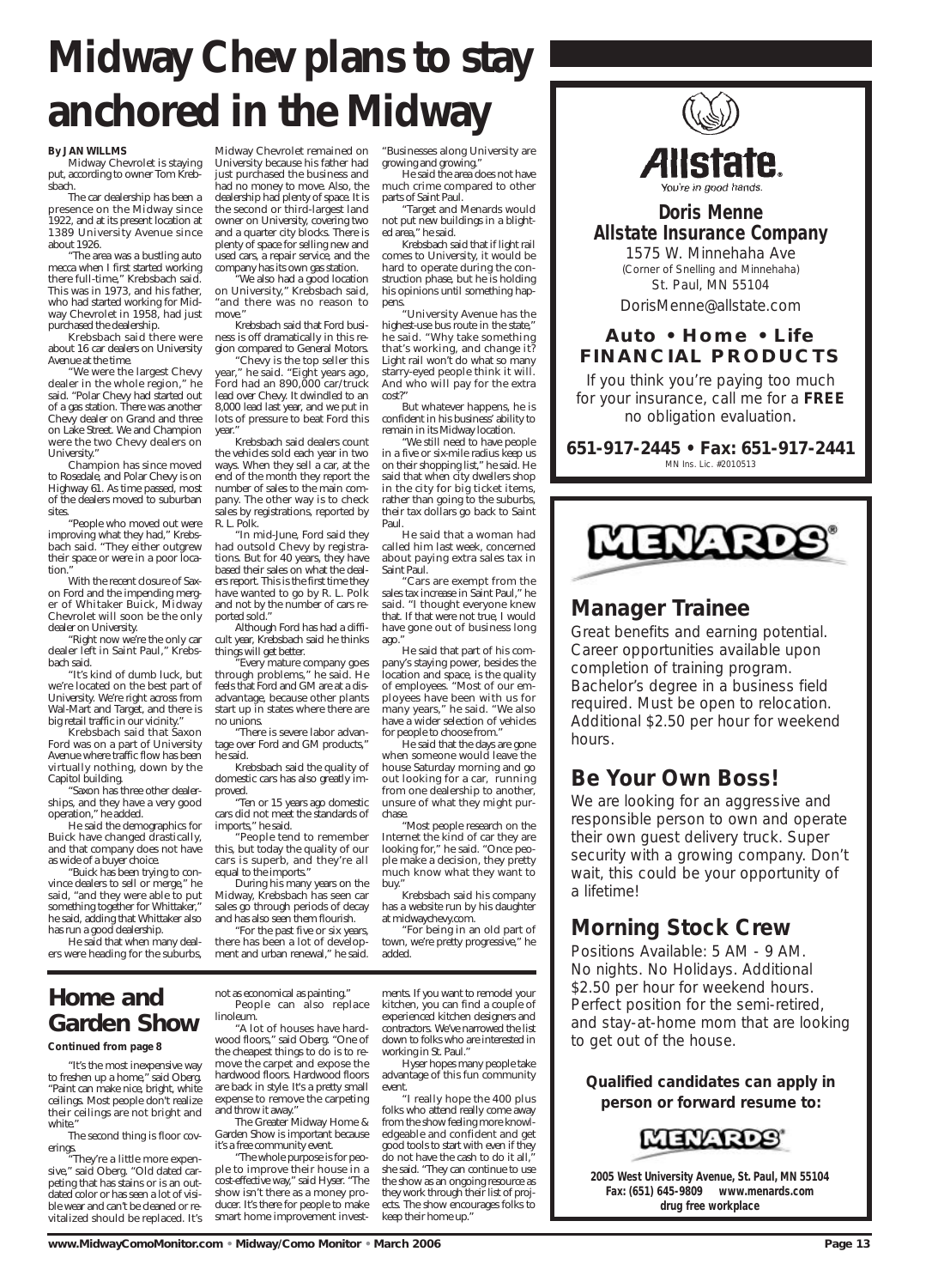**www.MidwayComoMonitor.com • Midway/Como Monitor • March 2006 Page 13**

## **Manager Trainee**

Great benefits and earning potential. Career opportunities available upon completion of training program. Bachelor's degree in a business field required. Must be open to relocation. Additional \$2.50 per hour for weekend hours.

We are looking for an aggressive and responsible person to own and operate their own guest delivery truck. Super security with a growing company. Don't wait, this could be your opportunity of a lifetime!

## **Be Your Own Boss!**

## **Morning Stock Crew**

Positions Available: 5 AM - 9 AM. No nights. No Holidays. Additional \$2.50 per hour for weekend hours. Perfect position for the semi-retired, and stay-at-home mom that are looking to get out of the house.

*Qualified candidates can apply in person or forward resume to:*



**2005 West University Avenue, St. Paul, MN 55104 Fax: (651) 645-9809 www.menards.com** *drug free workplace*

### **Doris Menne Allstate Insurance Company**

1575 W. Minnehaha Ave (Corner of Snelling and Minnehaha) St. Paul, MN 55104 *DorisMenne@allstate.com*

### **Auto • Home • Life FINANCIAL PRODUCTS**

If you think you're paying too much for your insurance, call me for a *FREE* no obligation evaluation.

**651-917-2445 • Fax: 651-917-2441** MN Ins. Lic. #2010513



### **Home and Garden Show**

#### **Continued from page 8**

"It's the most inexpensive way to freshen up a home," said Oberg. "Paint can make nice, bright, white ceilings. Most people don't realize their ceilings are not bright and white."

The second thing is floor coverings.

"They're a little more expensive," said Oberg. "Old dated carpeting that has stains or is an outdated color or has seen a lot of visible wear and can't be cleaned or revitalized should be replaced. It's



People can also replace linoleum.

Champion has since moved to Rosedale, and Polar Chevy is on Highway 61. As time passed, most of the dealers moved to suburban **sites.** 

> "A lot of houses have hardwood floors," said Oberg. "One of the cheapest things to do is to remove the carpet and expose the hardwood floors. Hardwood floors are back in style. It's a pretty small expense to remove the carpeting and throw it away."

"People who moved out were improving what they had," Krebsbach said. "They either outgrew their space or were in a poor location.

> The Greater Midway Home & Garden Show is important because it's a free community event.

'Right now we're the only car dealer left in Saint Paul," Krebsbach said.

> "The whole purpose is for people to improve their house in a cost-effective way," said Hyser. "The show isn't there as a money producer. It's there for people to make smart home improvement invest-

ments. If you want to remodel your kitchen, you can find a couple of experienced kitchen designers and contractors. We've narrowed the list down to folks who are interested in working in St. Paul."



Hyser hopes many people take advantage of this fun community event.

"I really hope the 400 plus folks who attend really come away from the show feeling more knowledgeable and confident and get good tools to start with even if they do not have the cash to do it all," she said. "They can continue to use the show as an ongoing resource as they work through their list of projects. The show encourages folks to keep their home up."

"Chevy is the top seller this year," he said. "Eight years ago, Ford had an 890,000 car/truck lead over Chevy. It dwindled to an 8,000 lead last year, and we put in lots of pressure to beat Ford this year.

#### **By JAN WILLMS**

Midway Chevrolet is staying put, according to owner Tom Krebsbach.

The car dealership has been a presence on the Midway since 1922, and at its present location at 1389 University Avenue since about 1926.

> Every mature company goes through problems," he said. He feels that Ford and GM are at a disadvantage, because other plants start up in states where there are no unions.

"The area was a bustling auto mecca when I first started working there full-time," Krebsbach said. This was in 1973, and his father, who had started working for Midway Chevrolet in 1958, had just purchased the dealership.

Krebsbach said there were about 16 car dealers on University Avenue at the time.

"We were the largest Chevy dealer in the whole region," he said. "Polar Chevy had started out of a gas station. There was another Chevy dealer on Grand and three on Lake Street. We and Champion were the two Chevy dealers on University."

With the recent closure of Saxon Ford and the impending merger of Whitaker Buick, Midway Chevrolet will soon be the only dealer on University.

"It's kind of dumb luck, but we're located on the best part of University. We're right across from Wal-Mart and Target, and there is big retail traffic in our vicinity."

Krebsbach said that Saxon Ford was on a part of University Avenue where traffic flow has been virtually nothing, down by the Capitol building.

"Saxon has three other dealerships, and they have a very good operation," he added.

He said the demographics for Buick have changed drastically, and that company does not have as wide of a buyer choice.

"Buick has been trying to convince dealers to sell or merge," he said, "and they were able to put something together for Whittaker," he said, adding that Whittaker also has run a good dealership.

He said that when many dealers were heading for the suburbs,

Midway Chevrolet remained on University because his father had just purchased the business and had no money to move. Also, the dealership had plenty of space. It is the second or third-largest land owner on University, covering two and a quarter city blocks. There is plenty of space for selling new and used cars, a repair service, and the company has its own gas station.

'We also had a good location on University," Krebsbach said, "and there was no reason to move."

Krebsbach said that Ford business is off dramatically in this region compared to General Motors.

Krebsbach said dealers count the vehicles sold each year in two ways. When they sell a car, at the end of the month they report the number of sales to the main company. The other way is to check sales by registrations, reported by R. L. Polk.

"In mid-June, Ford said they had outsold Chevy by registrations. But for 40 years, they have based their sales on what the dealers report. This is the first time they have wanted to go by R. L. Polk and not by the number of cars reported sold."

Although Ford has had a difficult year, Krebsbach said he thinks things will get better.

"There is severe labor advantage over Ford and GM products," he said.

Krebsbach said the quality of domestic cars has also greatly improved.

"Ten or 15 years ago domestic cars did not meet the standards of imports," he said.

"People tend to remember this, but today the quality of our cars is superb, and they're all equal to the imports."

During his many years on the Midway, Krebsbach has seen car sales go through periods of decay and has also seen them flourish.

"For the past five or six years, there has been a lot of development and urban renewal," he said. "Businesses along University are growing and growing."

He said the area does not have much crime compared to other parts of Saint Paul.

"Target and Menards would not put new buildings in a blighted area," he said.

Krebsbach said that if light rail comes to University, it would be hard to operate during the construction phase, but he is holding his opinions until something happens.

"University Avenue has the highest-use bus route in the state," he said. "Why take something that's working, and change it? Light rail won't do what so many starry-eyed people think it will. And who will pay for the extra cost?"

But whatever happens, he is confident in his business' ability to remain in its Midway location.

"We still need to have people in a five or six-mile radius keep us on their shopping list," he said. He said that when city dwellers shop in the city for big ticket items, rather than going to the suburbs, their tax dollars go back to Saint Paul.

He said that a woman had called him last week, concerned about paying extra sales tax in Saint Paul.

"Cars are exempt from the sales tax increase in Saint Paul," he said. "I thought everyone knew that. If that were not true, I would have gone out of business long ago."

He said that part of his company's staying power, besides the location and space, is the quality of employees. "Most of our employees have been with us for many years," he said. "We also have a wider selection of vehicles for people to choose from."

He said that the days are gone when someone would leave the house Saturday morning and go out looking for a car, running from one dealership to another, unsure of what they might purchase.

"Most people research on the Internet the kind of car they are looking for," he said. "Once people make a decision, they pretty much know what they want to buy."

Krebsbach said his company has a website run by his daughter at midwaychevy.com.

"For being in an old part of town, we're pretty progressive," he added.

## **Midway Chev plans to stay anchored in the Midway**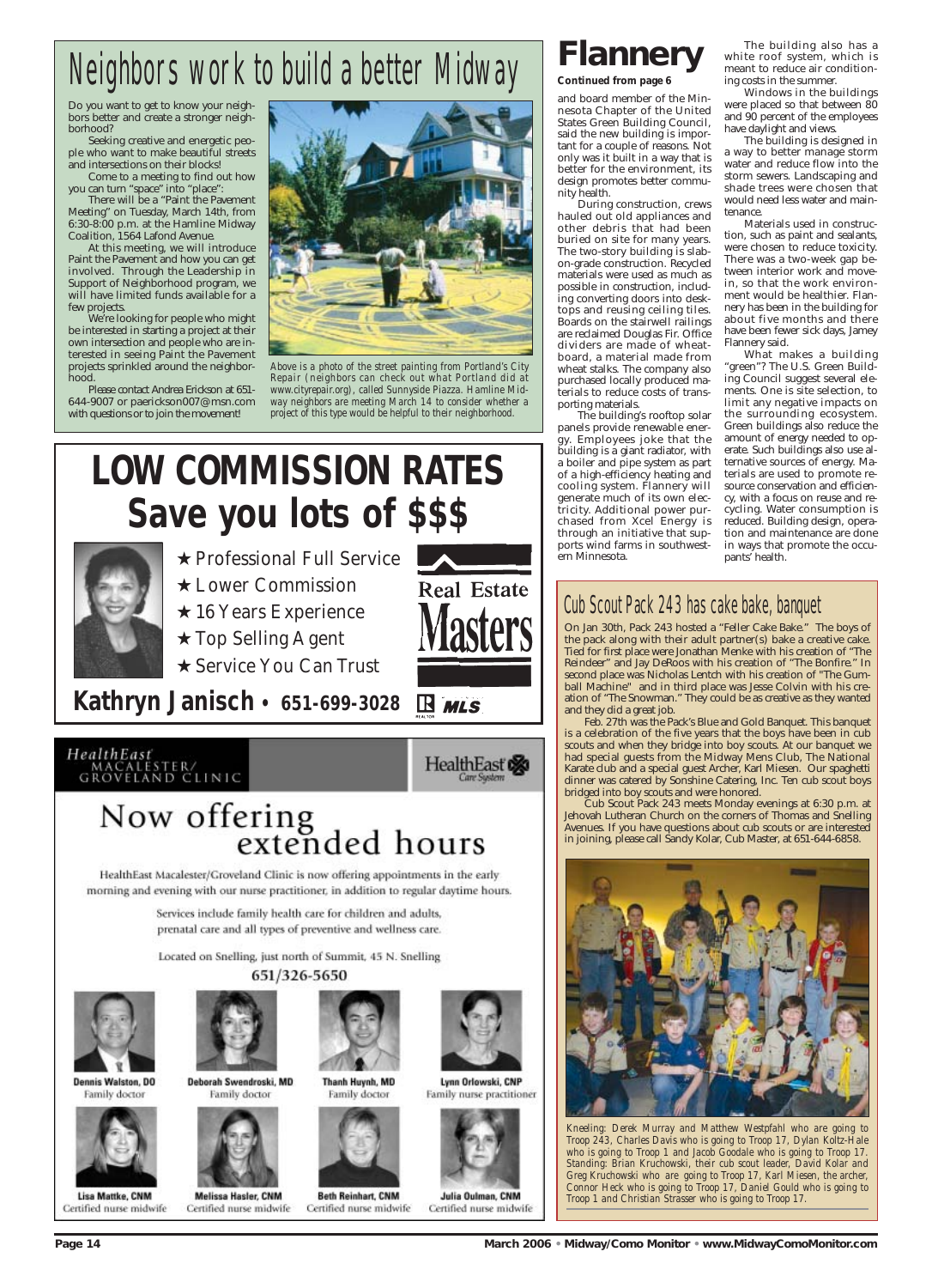**Page 14 March 2006 • Midway/Como Monitor • www.MidwayComoMonitor.com** 

- % Professional Full Service
- $\star$  Lower Commission  $\star$  16 Years Experience
- % Top Selling Agent
- 
- $\star$  Service You Can Trust

## **LOW COMMISSION RATES Save you lots of \$\$\$**



HealthEast<br>MACALESTER/<br>GROVELAND CLINIC

## **Kathryn Janisch • 651-699-3028**



HealthEast

**Flannery**

#### **Continued from page 6**

and board member of the Minnesota Chapter of the United States Green Building Council, said the new building is important for a couple of reasons. Not only was it built in a way that is better for the environment, its design promotes better community health.

During construction, crews hauled out old appliances and other debris that had been buried on site for many years. The two-story building is slabon-grade construction. Recycled materials were used as much as possible in construction, including converting doors into desktops and reusing ceiling tiles. Boards on the stairwell railings are reclaimed Douglas Fir. Office dividers are made of wheatboard, a material made from wheat stalks. The company also purchased locally produced materials to reduce costs of transporting materials.

The building's rooftop solar panels provide renewable energy. Employees joke that the building is a giant radiator, with a boiler and pipe system as part of a high-efficiency heating and cooling system. Flannery will generate much of its own electricity. Additional power purchased from Xcel Energy is through an initiative that supports wind farms in southwestern Minnesota.

The building also has a white roof system, which is meant to reduce air conditioning costs in the summer.

Windows in the buildings were placed so that between 80 and 90 percent of the employees have daylight and views.

The building is designed in a way to better manage storm water and reduce flow into the storm sewers. Landscaping and shade trees were chosen that would need less water and maintenance.

Materials used in construction, such as paint and sealants, were chosen to reduce toxicity. There was a two-week gap between interior work and movein, so that the work environment would be healthier. Flannery has been in the building for about five months and there have been fewer sick days, Jamey Flannery said.

What makes a building "green"? The U.S. Green Building Council suggest several elements. One is site selection, to limit any negative impacts on the surrounding ecosystem. Green buildings also reduce the amount of energy needed to operate. Such buildings also use alternative sources of energy. Materials are used to promote resource conservation and efficiency, with a focus on reuse and recycling. Water consumption is reduced. Building design, operation and maintenance are done in ways that promote the occupants' health.

## Neighbors work to build a better Midway

*Above is a photo of the street painting from Portland's City Repair (neighbors can check out what Portland did at www.cityrepair.org), called Sunnyside Piazza. Hamline Midway neighbors are meeting March 14 to consider whether a project of this type would be helpful to their neighborhood.*

Do you want to get to know your neighbors better and create a stronger neighborhood?

Seeking creative and energetic people who want to make beautiful streets and intersections on their blocks!

Come to a meeting to find out how you can turn "space" into "place":

There will be a "Paint the Pavement Meeting" on Tuesday, March 14th, from 6:30-8:00 p.m. at the Hamline Midway Coalition, 1564 Lafond Avenue.

At this meeting, we will introduce Paint the Pavement and how you can get involved. Through the Leadership in Support of Neighborhood program, we will have limited funds available for a few projects.

We're looking for people who might be interested in starting a project at their own intersection and people who are interested in seeing Paint the Pavement projects sprinkled around the neighborhood.

Please contact Andrea Erickson at 651- 644-9007 or paerickson007@msn.com with questions or to join the movement!



*Kneeling: Derek Murray and Matthew Westpfahl who are going to Troop 243, Charles Davis who is going to Troop 17, Dylan Koltz-Hale who is going to Troop 1 and Jacob Goodale who is going to Troop 17. Standing: Brian Kruchowski, their cub scout leader, David Kolar and Greg Kruchowski who are going to Troop 17, Karl Miesen, the archer, Connor Heck who is going to Troop 17, Daniel Gould who is going to Troop 1 and Christian Strasser who is going to Troop 17.*

## Cub Scout Pack 243 has cake bake, banquet

On Jan 30th, Pack 243 hosted a "Feller Cake Bake." The boys of the pack along with their adult partner(s) bake a creative cake. Tied for first place were Jonathan Menke with his creation of "The Reindeer" and Jay DeRoos with his creation of "The Bonfire." In second place was Nicholas Lentch with his creation of "The Gumball Machine" and in third place was Jesse Colvin with his creation of "The Snowman." They could be as creative as they wanted and they did a great job.

Feb. 27th was the Pack's Blue and Gold Banquet. This banquet is a celebration of the five years that the boys have been in cub scouts and when they bridge into boy scouts. At our banquet we had special guests from the Midway Mens Club, The National Karate club and a special guest Archer, Karl Miesen. Our spaghetti dinner was catered by Sonshine Catering, Inc. Ten cub scout boys bridged into boy scouts and were honored.

Cub Scout Pack 243 meets Monday evenings at 6:30 p.m. at Jehovah Lutheran Church on the corners of Thomas and Snelling Avenues. If you have questions about cub scouts or are interested in joining, please call Sandy Kolar, Cub Master, at 651-644-6858.



Now offering<br>extended hours

HealthEast Macalester/Groveland Clinic is now offering appointments in the early morning and evening with our nurse practitioner, in addition to regular daytime hours.

> Services include family health care for children and adults, prenatal care and all types of preventive and wellness care.

Located on Snelling, just north of Summit, 45 N. Snelling

651/326-5650



Thanh Huynh, MD

Family doctor







**Dennis Walston, DO** Family doctor

![](_page_13_Picture_45.jpeg)

Lisa Mattke, CNM Certified nurse midwife

Deborah Swendroski, MD Family doctor

![](_page_13_Picture_48.jpeg)

**Melissa Hasler, CNM** Certified nurse midwife

![](_page_13_Picture_50.jpeg)

![](_page_13_Picture_51.jpeg)

Lynn Orlowski, CNP Family nurse practitioner

![](_page_13_Picture_53.jpeg)

Julia Oulman, CNM Certified nurse midwife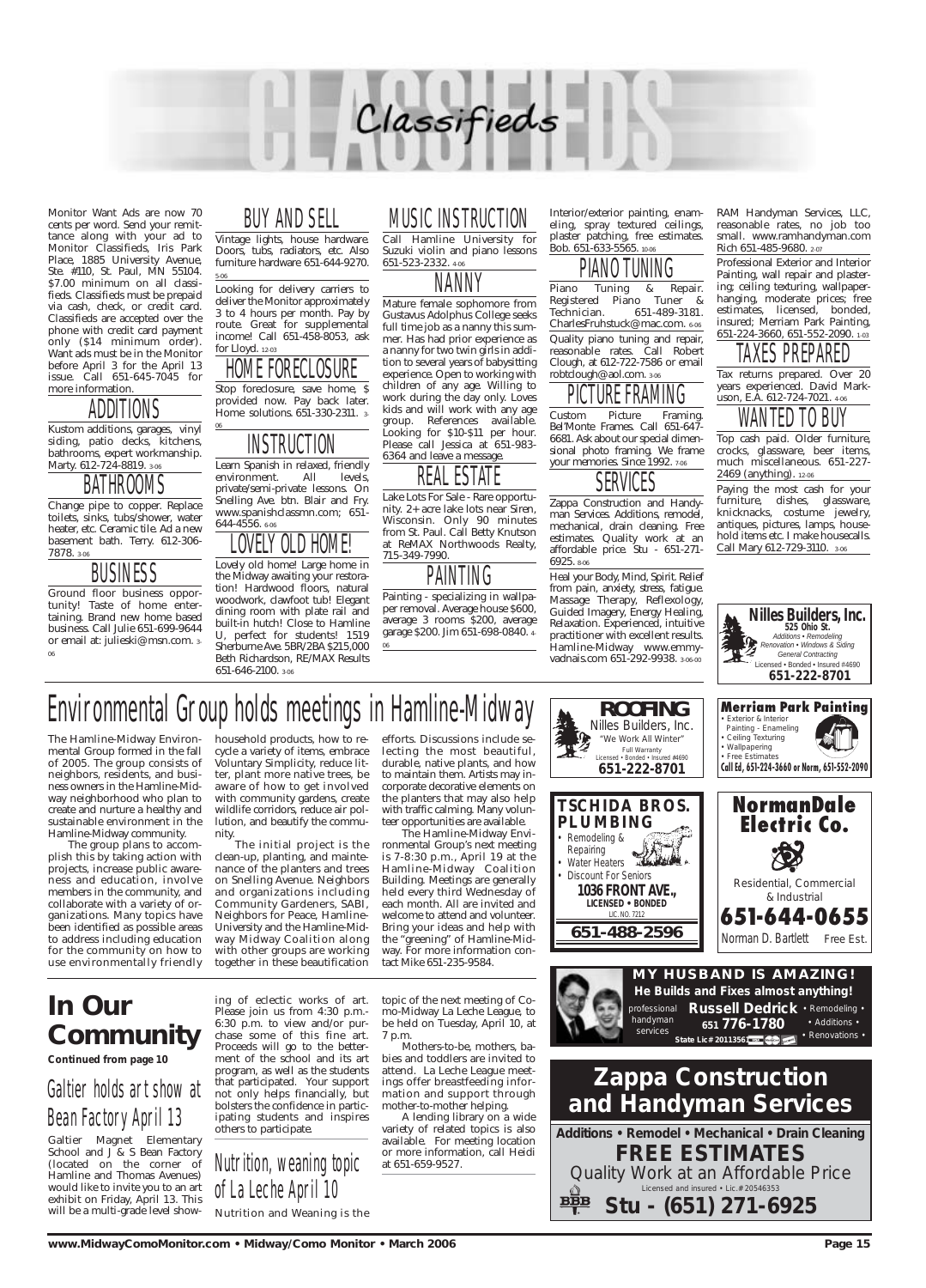![](_page_14_Picture_0.jpeg)

Monitor Want Ads are now 70 cents per word. Send your remittance along with your ad to Monitor Classifieds, Iris Park Place, 1885 University Avenue, Ste. #110, St. Paul, MN 55104. \$7.00 minimum on all classifieds. Classifieds must be prepaid via cash, check, or credit card. Classifieds are accepted over the phone with credit card payment only (\$14 minimum order). Want ads must be in the Monitor before April 3 for the April 13 issue. Call 651-645-7045 for more information.

Kustom additions, garages, vinyl siding, patio decks, kitchens, bathrooms, expert workmanship. Marty. 612-724-8819. 3-06

## ADDITIONS

### BATHROOMS

Change pipe to copper. Replace toilets, sinks, tubs/shower, water heater, etc. Ceramic tile. Ad a new basement bath. Terry. 612-306- 7878. 3-06

Learn Spanish in relaxed, friendly<br>environment. All levels. All levels, private/semi-private lessons. On Snelling Ave. btn. Blair and Fry. www.spanishclassmn.com; 651- 644-4556. 6-06

## BUSINESS

Ground floor business opportunity! Taste of home entertaining. Brand new home based business. Call Julie 651-699-9644 or email at: julieski@msn.com. 3- 06

## BUY AND SELL

Vintage lights, house hardware. Doors, tubs, radiators, etc. Also furniture hardware 651-644-9270. 5-06

Looking for delivery carriers to deliver the Monitor approximately 3 to 4 hours per month. Pay by route. Great for supplemental income! Call 651-458-8053, ask for Lloyd. 12-03

### HOME FORECLOSURE

Stop foreclosure, save home, \$ provided now. Pay back later. Home solutions. 651-330-2311. 3-

## **INSTRUCTION**

06

LOVELY OLD HOME!

Lovely old home! Large home in the Midway awaiting your restoration! Hardwood floors, natural woodwork, clawfoot tub! Elegant dining room with plate rail and built-in hutch! Close to Hamline U, perfect for students! 1519 Sherburne Ave. 5BR/2BA \$215,000 Beth Richardson, RE/MAX Results 651-646-2100. 3-06

## MUSIC INSTRUCTION

Call Hamline University for Suzuki violin and piano lessons 651-523-2332. 4-06

### NANNY

Mature female sophomore from Gustavus Adolphus College seeks full time job as a nanny this summer. Has had prior experience as a nanny for two twin girls in addition to several years of babysitting experience. Open to working with children of any age. Willing to work during the day only. Loves kids and will work with any age group. References available. Looking for \$10-\$11 per hour. Please call Jessica at 651-983- 6364 and leave a message.

## REAL ESTATE

Residential, Commercial & Industrial **651-644-0655** Norman D. Bartlett Free Est.

Lake Lots For Sale - Rare opportunity. 2+ acre lake lots near Siren, Wisconsin. Only 90 minutes from St. Paul. Call Betty Knutson at ReMAX Northwoods Realty, 715-349-7990.

## PAINTING

Painting - specializing in wallpaper removal. Average house \$600, average 3 rooms \$200, average garage \$200. Jim 651-698-0840. 4- 06

Interior/exterior painting, enameling, spray textured ceilings, plaster patching, free estimates. Bob. 651-633-5565. 10-06

## PIANO TUNING

Piano Tuning & Repair. Registered Piano Tuner &<br>Technician. 651-489-3181. Technician. 651-489-3181. CharlesFruhstuck@mac.com. 6-06 Quality piano tuning and repair, reasonable rates. Call Robert Clough, at 612-722-7586 or email

robtclough@aol.com. 3-06

your memories. Since 1992. 7-06

## PICTURE FRAMING

Custom Picture Framing. Bel'Monte Frames. Call 651-647- 6681. Ask about our special dimensional photo framing. We frame

## SERVICES

Zappa Construction and Handyman Services. Additions, remodel, mechanical, drain cleaning. Free estimates. Quality work at an affordable price. Stu - 651-271- 6925. 8-06

Heal your Body, Mind, Spirit. Relief from pain, anxiety, stress, fatigue. Massage Therapy, Reflexology, Guided Imagery, Energy Healing, Relaxation. Experienced, intuitive practitioner with excellent results. Hamline-Midway www.emmyvadnais.com 651-292-9938. 3-06-00

RAM Handyman Services, LLC, reasonable rates, no job too small. www.ramhandyman.com Rich 651-485-9680. 2-07

Professional Exterior and Interior Painting, wall repair and plastering; ceiling texturing, wallpaperhanging, moderate prices; free estimates, licensed, bonded, insured; Merriam Park Painting, 651-224-3660, 651-552-2090. 1-03

### TAXES PREPARED

Tax returns prepared. Over 20 years experienced. David Markuson, E.A. 612-724-7021. 4-06

### WANTED TO BUY

Top cash paid. Older furniture, crocks, glassware, beer items, much miscellaneous. 651-227- 2469 (anything). 12-06

Paying the most cash for your furniture, dishes, glassware, knicknacks, costume jewelry, antiques, pictures, lamps, household items etc. I make housecalls. Call Mary 612-729-3110. 3-06

**www.MidwayComoMonitor.com • Midway/Como Monitor • March 2006 Page 15**

![](_page_14_Picture_40.jpeg)

**ROOFING**

**MY HUSBAND IS AMAZING! He Builds and Fixes almost anything!**

![](_page_14_Picture_48.jpeg)

![](_page_14_Picture_65.jpeg)

## **Zappa Construction and Handyman Services**

**Additions • Remodel • Mechanical • Drain Cleaning FREE ESTIMATES** *Quality Work at an Affordable Price* Licensed and insured • Lic.# 20546353 BBB **Stu - (651) 271-6925**

Environmental Group holds meetings in Hamline-Midway

The Hamline-Midway Environmental Group formed in the fall of 2005. The group consists of neighbors, residents, and business owners in the Hamline-Midway neighborhood who plan to create and nurture a healthy and sustainable environment in the Hamline-Midway community. nity.

The group plans to accomplish this by taking action with projects, increase public awareness and education, involve members in the community, and collaborate with a variety of organizations. Many topics have been identified as possible areas to address including education for the community on how to use environmentally friendly

household products, how to recycle a variety of items, embrace Voluntary Simplicity, reduce litter, plant more native trees, be aware of how to get involved with community gardens, create wildlife corridors, reduce air pollution, and beautify the commu-

The initial project is the clean-up, planting, and maintenance of the planters and trees on Snelling Avenue. Neighbors and organizations including Community Gardeners, SABI, Neighbors for Peace, Hamline-University and the Hamline-Midway Midway Coalition along with other groups are working together in these beautification

efforts. Discussions include selecting the most beautiful, durable, native plants, and how to maintain them. Artists may incorporate decorative elements on the planters that may also help with traffic calming. Many volunteer opportunities are available.

The Hamline-Midway Environmental Group's next meeting is 7-8:30 p.m., April 19 at the Hamline-Midway Coalition Building. Meetings are generally held every third Wednesday of each month. All are invited and welcome to attend and volunteer. Bring your ideas and help with the "greening" of Hamline-Midway. For more information contact Mike 651-235-9584.

## **In Our Community**

**Continued from page 10**

## Galtier holds art show at Bean Factory April 13

Galtier Magnet Elementary School and J & S Bean Factory (located on the corner of Hamline and Thomas Avenues) would like to invite you to an art exhibit on Friday, April 13. This will be a multi-grade level show-

Please join us from 4:30 p.m.- 6:30 p.m. to view and/or purchase some of this fine art. Proceeds will go to the betterment of the school and its art program, as well as the students that participated. Your support not only helps financially, but bolsters the confidence in participating students and inspires others to participate.

ing of eclectic works of art. topic of the next meeting of Co-

Nutrition, weaning topic of La Leche April 10

Nutrition and Weaning is the

mo-Midway La Leche League, to be held on Tuesday, April 10, at 7 p.m.

Mothers-to-be, mothers, babies and toddlers are invited to attend. La Leche League meetings offer breastfeeding information and support through mother-to-mother helping.

A lending library on a wide variety of related topics is also available. For meeting location or more information, call Heidi at 651-659-9527.